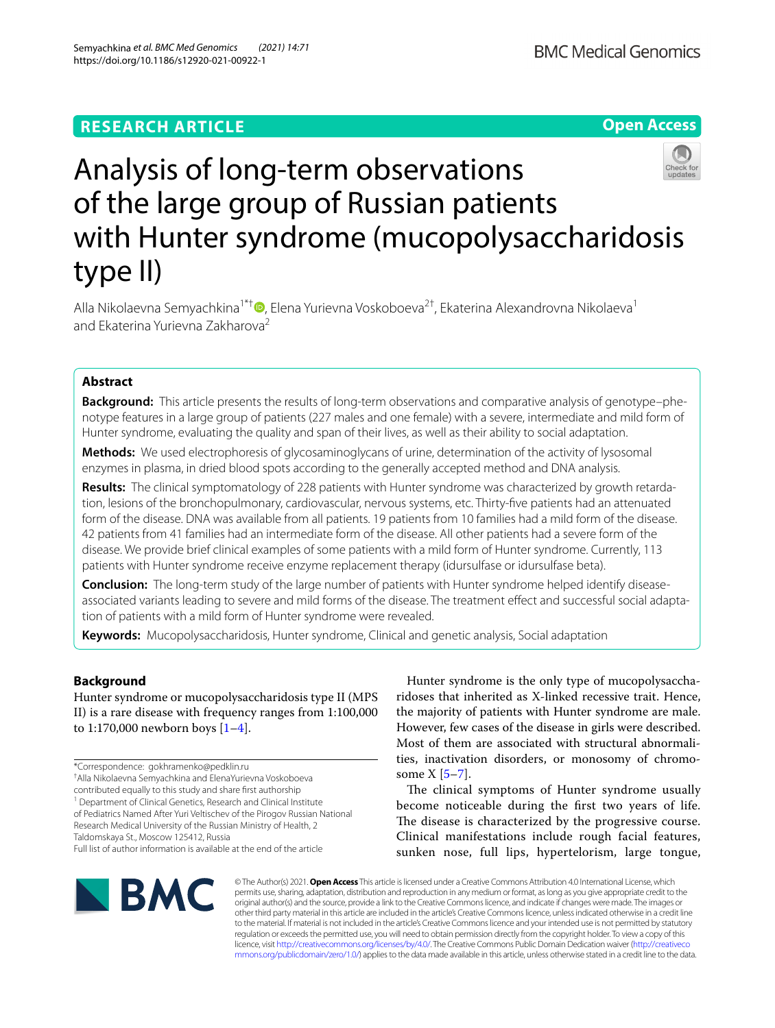**Open Access**



# Analysis of long-term observations of the large group of Russian patients with Hunter syndrome (mucopolysaccharidosis type II)

Alla Nikolaevna Semyachkina<sup>1\*†</sup> [,](http://orcid.org/0000-0002-4026-3791) Elena Yurievna Voskoboeva<sup>2†</sup>, Ekaterina Alexandrovna Nikolaeva<sup>1</sup> and Ekaterina Yurievna Zakharova<sup>2</sup>

# **Abstract**

**Background:** This article presents the results of long-term observations and comparative analysis of genotype–phenotype features in a large group of patients (227 males and one female) with a severe, intermediate and mild form of Hunter syndrome, evaluating the quality and span of their lives, as well as their ability to social adaptation.

**Methods:** We used electrophoresis of glycosaminoglycans of urine, determination of the activity of lysosomal enzymes in plasma, in dried blood spots according to the generally accepted method and DNA analysis.

**Results:** The clinical symptomatology of 228 patients with Hunter syndrome was characterized by growth retardation, lesions of the bronchopulmonary, cardiovascular, nervous systems, etc. Thirty-fve patients had an attenuated form of the disease. DNA was available from all patients. 19 patients from 10 families had a mild form of the disease. 42 patients from 41 families had an intermediate form of the disease. All other patients had a severe form of the disease. We provide brief clinical examples of some patients with a mild form of Hunter syndrome. Currently, 113 patients with Hunter syndrome receive enzyme replacement therapy (idursulfase or idursulfase beta).

**Conclusion:** The long-term study of the large number of patients with Hunter syndrome helped identify diseaseassociated variants leading to severe and mild forms of the disease. The treatment efect and successful social adaptation of patients with a mild form of Hunter syndrome were revealed.

**Keywords:** Mucopolysaccharidosis, Hunter syndrome, Clinical and genetic analysis, Social adaptation

# **Background**

Hunter syndrome or mucopolysaccharidosis type II (MPS II) is a rare disease with frequency ranges from 1:100,000 to 1:170,000 newborn boys  $[1-4]$  $[1-4]$ .

<sup>1</sup> Department of Clinical Genetics, Research and Clinical Institute of Pediatrics Named After Yuri Veltischev of the Pirogov Russian National Research Medical University of the Russian Ministry of Health, 2

Taldomskaya St., Moscow 125412, Russia

Hunter syndrome is the only type of mucopolysaccharidoses that inherited as X-linked recessive trait. Hence, the majority of patients with Hunter syndrome are male. However, few cases of the disease in girls were described. Most of them are associated with structural abnormalities, inactivation disorders, or monosomy of chromosome  $X$  [\[5–](#page-17-2)[7\]](#page-17-3).

The clinical symptoms of Hunter syndrome usually become noticeable during the frst two years of life. The disease is characterized by the progressive course. Clinical manifestations include rough facial features, sunken nose, full lips, hypertelorism, large tongue,



© The Author(s) 2021. **Open Access** This article is licensed under a Creative Commons Attribution 4.0 International License, which permits use, sharing, adaptation, distribution and reproduction in any medium or format, as long as you give appropriate credit to the original author(s) and the source, provide a link to the Creative Commons licence, and indicate if changes were made. The images or other third party material in this article are included in the article's Creative Commons licence, unless indicated otherwise in a credit line to the material. If material is not included in the article's Creative Commons licence and your intended use is not permitted by statutory regulation or exceeds the permitted use, you will need to obtain permission directly from the copyright holder. To view a copy of this licence, visit [http://creativecommons.org/licenses/by/4.0/.](http://creativecommons.org/licenses/by/4.0/) The Creative Commons Public Domain Dedication waiver ([http://creativeco](http://creativecommons.org/publicdomain/zero/1.0/) [mmons.org/publicdomain/zero/1.0/](http://creativecommons.org/publicdomain/zero/1.0/)) applies to the data made available in this article, unless otherwise stated in a credit line to the data.

<sup>\*</sup>Correspondence: gokhramenko@pedklin.ru

<sup>†</sup> Alla Nikolaevna Semyachkina and ElenaYurievna Voskoboeva

contributed equally to this study and share frst authorship

Full list of author information is available at the end of the article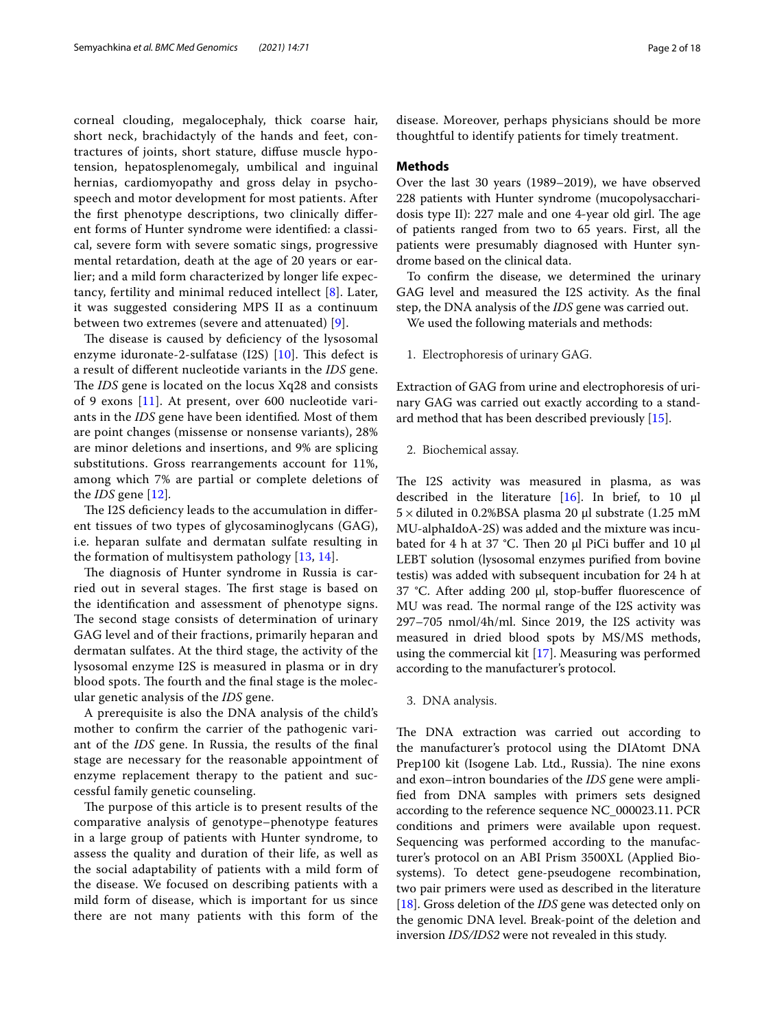corneal clouding, megalocephaly, thick coarse hair, short neck, brachidactyly of the hands and feet, contractures of joints, short stature, difuse muscle hypotension, hepatosplenomegaly, umbilical and inguinal hernias, cardiomyopathy and gross delay in psychospeech and motor development for most patients. After the frst phenotype descriptions, two clinically diferent forms of Hunter syndrome were identifed: a classical, severe form with severe somatic sings, progressive mental retardation, death at the age of 20 years or earlier; and a mild form characterized by longer life expectancy, fertility and minimal reduced intellect [[8](#page-17-4)]. Later, it was suggested considering MPS II as a continuum between two extremes (severe and attenuated) [\[9\]](#page-17-5).

The disease is caused by deficiency of the lysosomal enzyme iduronate-2-sulfatase  $(12S)$  [[10\]](#page-17-6). This defect is a result of diferent nucleotide variants in the *IDS* gene. The *IDS* gene is located on the locus Xq28 and consists of 9 exons [\[11](#page-17-7)]. At present, over 600 nucleotide variants in the *IDS* gene have been identifed*.* Most of them are point changes (missense or nonsense variants), 28% are minor deletions and insertions, and 9% are splicing substitutions. Gross rearrangements account for 11%, among which 7% are partial or complete deletions of the *IDS* gene [\[12](#page-17-8)]*.*

The I2S deficiency leads to the accumulation in different tissues of two types of glycosaminoglycans (GAG), i.e. heparan sulfate and dermatan sulfate resulting in the formation of multisystem pathology [[13,](#page-17-9) [14\]](#page-17-10).

The diagnosis of Hunter syndrome in Russia is carried out in several stages. The first stage is based on the identifcation and assessment of phenotype signs. The second stage consists of determination of urinary GAG level and of their fractions, primarily heparan and dermatan sulfates. At the third stage, the activity of the lysosomal enzyme I2S is measured in plasma or in dry blood spots. The fourth and the final stage is the molecular genetic analysis of the *IDS* gene.

A prerequisite is also the DNA analysis of the child's mother to confrm the carrier of the pathogenic variant of the *IDS* gene. In Russia, the results of the fnal stage are necessary for the reasonable appointment of enzyme replacement therapy to the patient and successful family genetic counseling.

The purpose of this article is to present results of the comparative analysis of genotype–phenotype features in a large group of patients with Hunter syndrome, to assess the quality and duration of their life, as well as the social adaptability of patients with a mild form of the disease. We focused on describing patients with a mild form of disease, which is important for us since there are not many patients with this form of the disease. Moreover, perhaps physicians should be more thoughtful to identify patients for timely treatment.

#### **Methods**

Over the last 30 years (1989–2019), we have observed 228 patients with Hunter syndrome (mucopolysaccharidosis type II): 227 male and one 4-year old girl. The age of patients ranged from two to 65 years. First, all the patients were presumably diagnosed with Hunter syndrome based on the clinical data.

To confrm the disease, we determined the urinary GAG level and measured the I2S activity. As the fnal step, the DNA analysis of the *IDS* gene was carried out.

We used the following materials and methods:

1. Electrophoresis of urinary GAG.

Extraction of GAG from urine and electrophoresis of urinary GAG was carried out exactly according to a standard method that has been described previously [\[15\]](#page-17-11).

2. Biochemical assay.

The I2S activity was measured in plasma, as was described in the literature [\[16](#page-17-12)]. In brief, to 10 μl  $5 \times$  diluted in 0.2%BSA plasma 20 μl substrate (1.25 mM MU-alphaIdoA-2S) was added and the mixture was incubated for 4 h at 37 °C. Then 20 μl PiCi buffer and 10 μl LEBT solution (lysosomal enzymes purifed from bovine testis) was added with subsequent incubation for 24 h at 37 °C. After adding 200 μl, stop-bufer fuorescence of MU was read. The normal range of the I2S activity was 297–705 nmol/4h/ml. Since 2019, the I2S activity was measured in dried blood spots by MS/MS methods, using the commercial kit [\[17](#page-17-13)]. Measuring was performed according to the manufacturer's protocol.

3. DNA analysis.

The DNA extraction was carried out according to the manufacturer's protocol using the DIAtomt DNA Prep100 kit (Isogene Lab. Ltd., Russia). The nine exons and exon–intron boundaries of the *IDS* gene were amplifed from DNA samples with primers sets designed according to the reference sequence NC\_000023.11. PCR conditions and primers were available upon request. Sequencing was performed according to the manufacturer's protocol on an ABI Prism 3500XL (Applied Biosystems). To detect gene-pseudogene recombination, two pair primers were used as described in the literature [[18\]](#page-17-14). Gross deletion of the *IDS* gene was detected only on the genomic DNA level. Break-point of the deletion and inversion *IDS/IDS2* were not revealed in this study.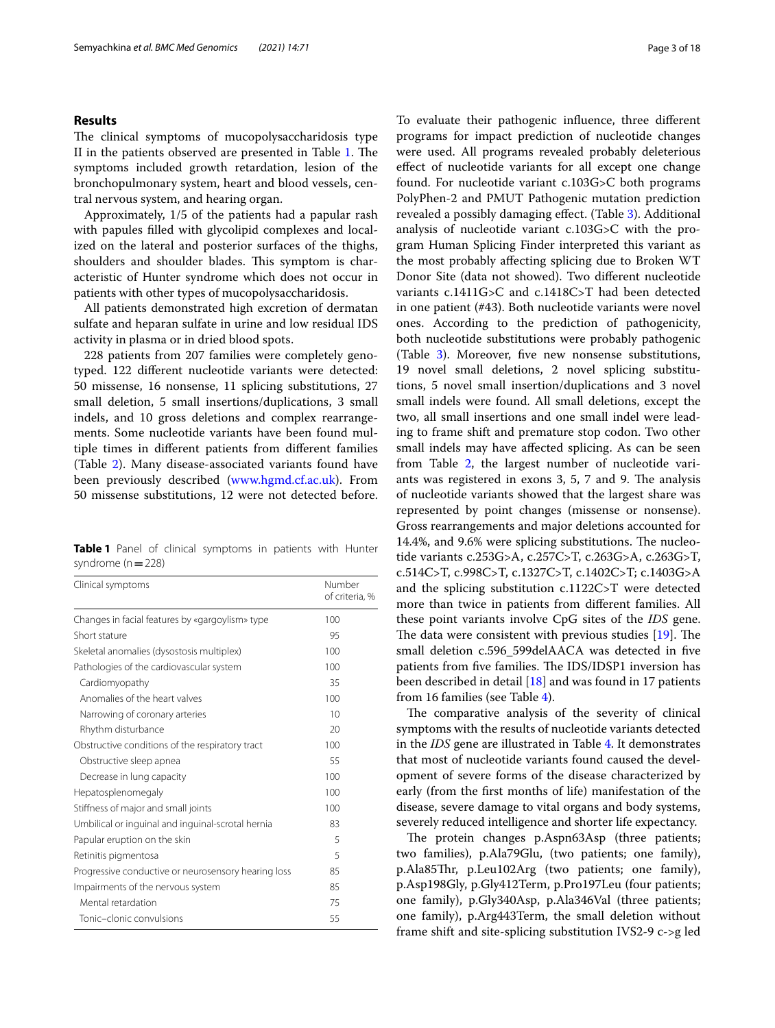#### **Results**

The clinical symptoms of mucopolysaccharidosis type II in the patients observed are presented in Table [1.](#page-2-0) The symptoms included growth retardation, lesion of the bronchopulmonary system, heart and blood vessels, central nervous system, and hearing organ.

Approximately, 1/5 of the patients had a papular rash with papules flled with glycolipid complexes and localized on the lateral and posterior surfaces of the thighs, shoulders and shoulder blades. This symptom is characteristic of Hunter syndrome which does not occur in patients with other types of mucopolysaccharidosis.

All patients demonstrated high excretion of dermatan sulfate and heparan sulfate in urine and low residual IDS activity in plasma or in dried blood spots.

228 patients from 207 families were completely genotyped. 122 diferent nucleotide variants were detected: 50 missense, 16 nonsense, 11 splicing substitutions, 27 small deletion, 5 small insertions/duplications, 3 small indels, and 10 gross deletions and complex rearrangements. Some nucleotide variants have been found multiple times in diferent patients from diferent families (Table [2](#page-3-0)). Many disease-associated variants found have been previously described ([www.hgmd.cf.ac.uk\)](http://www.hgmd.cf.ac.uk). From 50 missense substitutions, 12 were not detected before.

<span id="page-2-0"></span>**Table 1** Panel of clinical symptoms in patients with Hunter syndrome (n**=**228)

| Clinical symptoms                                   | Number<br>of criteria, % |
|-----------------------------------------------------|--------------------------|
| Changes in facial features by «gargoylism» type     | 100                      |
| Short stature                                       | 95                       |
| Skeletal anomalies (dysostosis multiplex)           | 100                      |
| Pathologies of the cardiovascular system            | 100                      |
| Cardiomyopathy                                      | 35                       |
| Anomalies of the heart valves                       | 100                      |
| Narrowing of coronary arteries                      | 10                       |
| Rhythm disturbance                                  | 20                       |
| Obstructive conditions of the respiratory tract     | 100                      |
| Obstructive sleep apnea                             | 55                       |
| Decrease in lung capacity                           | 100                      |
| Hepatosplenomegaly                                  | 100                      |
| Stiffness of major and small joints                 | 100                      |
| Umbilical or inguinal and inguinal-scrotal hernia   | 83                       |
| Papular eruption on the skin                        | 5                        |
| Retinitis pigmentosa                                | 5                        |
| Progressive conductive or neurosensory hearing loss | 85                       |
| Impairments of the nervous system                   | 85                       |
| Mental retardation                                  | 75                       |
| Tonic-clonic convulsions                            | 55                       |

To evaluate their pathogenic infuence, three diferent programs for impact prediction of nucleotide changes were used. All programs revealed probably deleterious efect of nucleotide variants for all except one change found. For nucleotide variant c.103G>C both programs PolyPhen-2 and PMUT Pathogenic mutation prediction revealed a possibly damaging effect. (Table [3](#page-7-0)). Additional analysis of nucleotide variant c.103G>C with the program Human Splicing Finder interpreted this variant as the most probably afecting splicing due to Broken WT Donor Site (data not showed). Two diferent nucleotide variants c.1411G>C and c.1418C>T had been detected in one patient (#43). Both nucleotide variants were novel ones. According to the prediction of pathogenicity, both nucleotide substitutions were probably pathogenic (Table [3](#page-7-0)). Moreover, fve new nonsense substitutions, 19 novel small deletions, 2 novel splicing substitutions, 5 novel small insertion/duplications and 3 novel small indels were found. All small deletions, except the two, all small insertions and one small indel were leading to frame shift and premature stop codon. Two other small indels may have afected splicing. As can be seen from Table [2](#page-3-0), the largest number of nucleotide variants was registered in exons  $3, 5, 7$  and  $9$ . The analysis of nucleotide variants showed that the largest share was represented by point changes (missense or nonsense). Gross rearrangements and major deletions accounted for 14.4%, and 9.6% were splicing substitutions. The nucleotide variants c.253G>A, c.257C>T, c.263G>A, c.263G>T, c.514C>T, c.998C>T, c.1327C>T, c.1402C>T; c.1403G>A and the splicing substitution c.1122C>T were detected more than twice in patients from diferent families. All these point variants involve CpG sites of the *IDS* gene. The data were consistent with previous studies  $[19]$  $[19]$ . The small deletion c.596\_599delAACA was detected in fve patients from five families. The IDS/IDSP1 inversion has been described in detail [\[18\]](#page-17-14) and was found in 17 patients from 16 families (see Table [4](#page-8-0)).

The comparative analysis of the severity of clinical symptoms with the results of nucleotide variants detected in the *IDS* gene are illustrated in Table [4.](#page-8-0) It demonstrates that most of nucleotide variants found caused the development of severe forms of the disease characterized by early (from the frst months of life) manifestation of the disease, severe damage to vital organs and body systems, severely reduced intelligence and shorter life expectancy.

The protein changes p.Aspn63Asp (three patients; two families), p.Ala79Glu, (two patients; one family), p.Ala85Thr, p.Leu102Arg (two patients; one family), p.Asp198Gly, p.Gly412Term, p.Pro197Leu (four patients; one family), p.Gly340Asp, p.Ala346Val (three patients; one family), p.Arg443Term, the small deletion without frame shift and site-splicing substitution IVS2-9 c->g led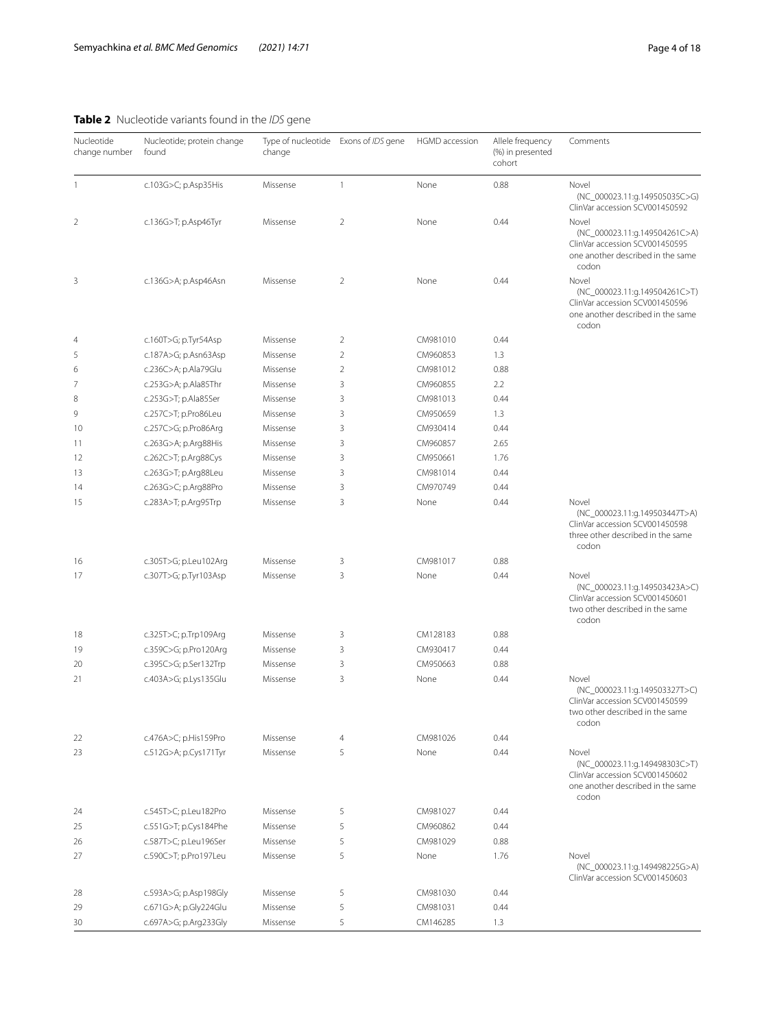# <span id="page-3-0"></span>**Table 2** Nucleotide variants found in the *IDS* gene

| Nucleotide<br>change number | Nucleotide; protein change<br>found | Type of nucleotide Exons of IDS gene<br>change |                | HGMD accession | Allele frequency<br>(%) in presented<br>cohort | Comments                                                                                                               |  |
|-----------------------------|-------------------------------------|------------------------------------------------|----------------|----------------|------------------------------------------------|------------------------------------------------------------------------------------------------------------------------|--|
| 1                           | c.103G>C; p.Asp35His                | Missense                                       | $\mathbf{1}$   | None           | 0.88                                           | Novel<br>(NC_000023.11:g.149505035C>G)<br>ClinVar accession SCV001450592                                               |  |
| 2                           | c.136G>T; p.Asp46Tyr                | Missense                                       | $\overline{2}$ | None           | 0.44                                           | Novel<br>(NC_000023.11:g.149504261C>A)<br>ClinVar accession SCV001450595<br>one another described in the same<br>codon |  |
| 3                           | c.136G>A; p.Asp46Asn                | Missense                                       | $\overline{2}$ | None           | 0.44                                           | Novel<br>(NC_000023.11:g.149504261C>T)<br>ClinVar accession SCV001450596<br>one another described in the same<br>codon |  |
| 4                           | c.160T>G; p.Tyr54Asp                | Missense                                       | $\overline{2}$ | CM981010       | 0.44                                           |                                                                                                                        |  |
| 5                           | c.187A>G; p.Asn63Asp                | Missense                                       | $\overline{2}$ | CM960853       | 1.3                                            |                                                                                                                        |  |
| 6                           | c.236C>A; p.Ala79Glu                | Missense                                       | $\overline{2}$ | CM981012       | 0.88                                           |                                                                                                                        |  |
| 7                           | c.253G>A; p.Ala85Thr                | Missense                                       | 3              | CM960855       | 2.2                                            |                                                                                                                        |  |
| 8                           | c.253G>T; p.Ala85Ser                | Missense                                       | 3              | CM981013       | 0.44                                           |                                                                                                                        |  |
| 9                           | c.257C>T; p.Pro86Leu                | Missense                                       | 3              | CM950659       | 1.3                                            |                                                                                                                        |  |
| 10                          | c.257C>G; p.Pro86Arg                | Missense                                       | 3              | CM930414       | 0.44                                           |                                                                                                                        |  |
| 11                          | c.263G>A; p.Arg88His                | Missense                                       | 3              | CM960857       | 2.65                                           |                                                                                                                        |  |
| 12                          | c.262C>T; p.Arg88Cys                | Missense                                       | 3              | CM950661       | 1.76                                           |                                                                                                                        |  |
| 13                          | c.263G>T; p.Arg88Leu                | Missense                                       | 3              | CM981014       | 0.44                                           |                                                                                                                        |  |
| 14                          | c.263G>C; p.Arg88Pro                | Missense                                       | 3              | CM970749       | 0.44                                           |                                                                                                                        |  |
| 15                          | c.283A>T; p.Arg95Trp                | Missense                                       | 3              | None           | 0.44                                           | Novel<br>(NC_000023.11:g.149503447T>A)<br>ClinVar accession SCV001450598<br>three other described in the same<br>codon |  |
| 16                          | c.305T>G; p.Leu102Arg               | Missense                                       | 3              | CM981017       | 0.88                                           |                                                                                                                        |  |
| 17                          | c.307T>G; p.Tyr103Asp               | Missense                                       | 3              | None           | 0.44                                           | Novel<br>(NC_000023.11:g.149503423A>C)<br>ClinVar accession SCV001450601<br>two other described in the same<br>codon   |  |
| 18                          | c.325T>C; p.Trp109Arg               | Missense                                       | 3              | CM128183       | 0.88                                           |                                                                                                                        |  |
| 19                          | c.359C>G; p.Pro120Arg               | Missense                                       | 3              | CM930417       | 0.44                                           |                                                                                                                        |  |
| 20                          | c.395C>G; p.Ser132Trp               | Missense                                       | 3              | CM950663       | 0.88                                           |                                                                                                                        |  |
| 21                          | c.403A>G; p.Lys135Glu               | Missense                                       | 3              | None           | 0.44                                           | Novel<br>(NC_000023.11:g.149503327T>C)<br>ClinVar accession SCV001450599<br>two other described in the same<br>codon   |  |
| 22                          | c.476A>C; p.His159Pro               | Missense                                       | 4              | CM981026       | 0.44                                           |                                                                                                                        |  |
| 23                          | c.512G>A; p.Cys171Tyr               | Missense                                       | 5              | None           | 0.44                                           | Novel<br>(NC_000023.11:g.149498303C>T)<br>ClinVar accession SCV001450602<br>one another described in the same<br>codon |  |
| 24                          | c.545T>C; p.Leu182Pro               | Missense                                       | 5              | CM981027       | 0.44                                           |                                                                                                                        |  |
| 25                          | c.551G>T; p.Cys184Phe               | Missense                                       | 5              | CM960862       | 0.44                                           |                                                                                                                        |  |
| 26                          | c.587T>C; p.Leu196Ser               | Missense                                       | 5              | CM981029       | 0.88                                           |                                                                                                                        |  |
| 27                          | c.590C>T; p.Pro197Leu               | Missense                                       | 5              | None           | 1.76                                           | Novel<br>(NC_000023.11:g.149498225G>A)<br>ClinVar accession SCV001450603                                               |  |
| 28                          | c.593A>G; p.Asp198Gly               | Missense                                       | 5              | CM981030       | 0.44                                           |                                                                                                                        |  |
| 29                          | c.671G>A; p.Gly224Glu               | Missense                                       | 5              | CM981031       | 0.44                                           |                                                                                                                        |  |
| 30                          | c.697A>G; p.Arg233Gly               | Missense                                       | 5              | CM146285       | 1.3                                            |                                                                                                                        |  |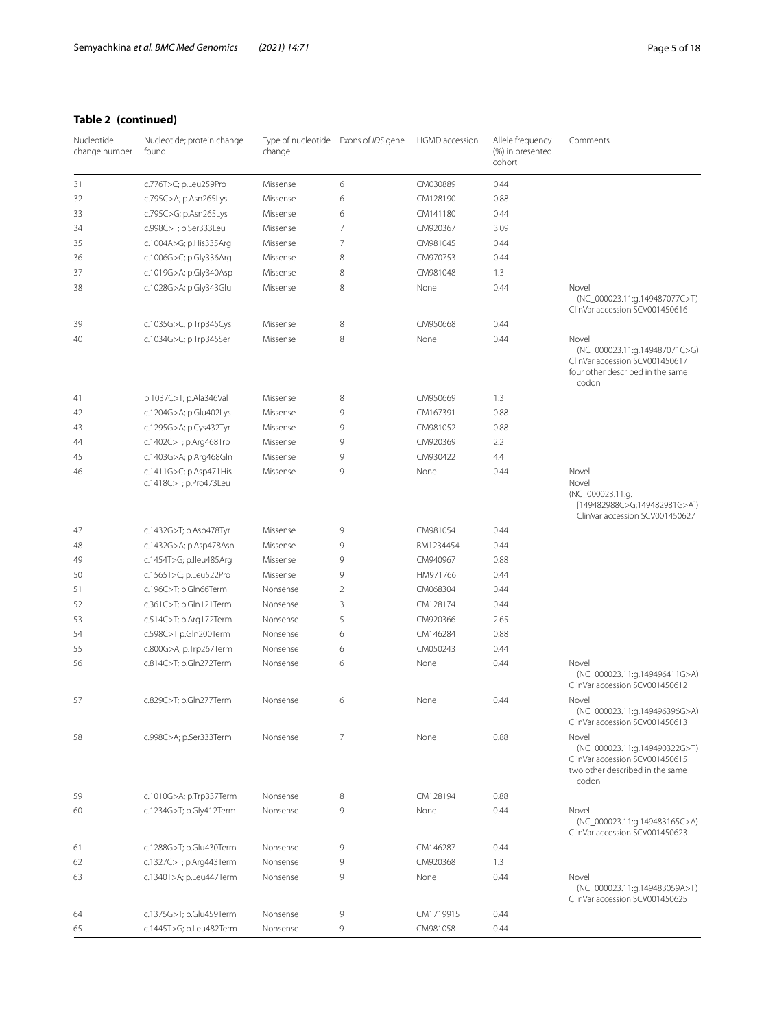# **Table 2 (continued)**

| Nucleotide<br>change number | Nucleotide; protein change<br>Type of nucleotide Exons of IDS gene<br>HGMD accession<br>found<br>change |          | Allele frequency<br>(%) in presented<br>cohort | Comments  |      |                                                                                                                       |
|-----------------------------|---------------------------------------------------------------------------------------------------------|----------|------------------------------------------------|-----------|------|-----------------------------------------------------------------------------------------------------------------------|
| 31                          | c.776T>C; p.Leu259Pro                                                                                   | Missense | 6                                              | CM030889  | 0.44 |                                                                                                                       |
| 32                          | c.795C>A; p.Asn265Lys                                                                                   | Missense | 6                                              | CM128190  | 0.88 |                                                                                                                       |
| 33                          | c.795C>G; p.Asn265Lys                                                                                   | Missense | 6                                              | CM141180  | 0.44 |                                                                                                                       |
| 34                          | c.998C>T; p.Ser333Leu                                                                                   | Missense | 7                                              | CM920367  | 3.09 |                                                                                                                       |
| 35                          | c.1004A>G; p.His335Arg                                                                                  | Missense | 7                                              | CM981045  | 0.44 |                                                                                                                       |
| 36                          | c.1006G>C; p.Gly336Arg                                                                                  | Missense | 8                                              | CM970753  | 0.44 |                                                                                                                       |
| 37                          | c.1019G>A; p.Gly340Asp                                                                                  | Missense | 8                                              | CM981048  | 1.3  |                                                                                                                       |
| 38                          | c.1028G>A; p.Gly343Glu                                                                                  | Missense | 8                                              | None      | 0.44 | Novel<br>(NC_000023.11:g.149487077C>T)<br>ClinVar accession SCV001450616                                              |
| 39                          | c.1035G>C, p.Trp345Cys                                                                                  | Missense | 8                                              | CM950668  | 0.44 |                                                                                                                       |
| 40                          | c.1034G>C; p.Trp345Ser                                                                                  | Missense | 8                                              | None      | 0.44 | Novel<br>(NC_000023.11:g.149487071C>G)<br>ClinVar accession SCV001450617<br>four other described in the same<br>codon |
| 41                          | p.1037C>T; p.Ala346Val                                                                                  | Missense | 8                                              | CM950669  | 1.3  |                                                                                                                       |
| 42                          | c.1204G>A; p.Glu402Lys                                                                                  | Missense | 9                                              | CM167391  | 0.88 |                                                                                                                       |
| 43                          | c.1295G>A; p.Cys432Tyr                                                                                  | Missense | 9                                              | CM981052  | 0.88 |                                                                                                                       |
| 44                          | c.1402C>T; p.Arg468Trp                                                                                  | Missense | 9                                              | CM920369  | 2.2  |                                                                                                                       |
| 45                          | c.1403G>A; p.Arg468Gln                                                                                  | Missense | 9                                              | CM930422  | 4.4  |                                                                                                                       |
| 46                          | c.1411G>C; p.Asp471His<br>c.1418C>T; p.Pro473Leu                                                        | Missense | 9                                              | None      | 0.44 | Novel<br>Novel<br>(NC_000023.11:g.<br>[149482988C>G;149482981G>A])<br>ClinVar accession SCV001450627                  |
| 47                          | c.1432G>T; p.Asp478Tyr                                                                                  | Missense | 9                                              | CM981054  | 0.44 |                                                                                                                       |
| 48                          | c.1432G>A; p.Asp478Asn                                                                                  | Missense | 9                                              | BM1234454 | 0.44 |                                                                                                                       |
| 49                          | c.1454T>G; p.lleu485Arg                                                                                 | Missense | 9                                              | CM940967  | 0.88 |                                                                                                                       |
| 50                          | c.1565T>C; p.Leu522Pro                                                                                  | Missense | 9                                              | HM971766  | 0.44 |                                                                                                                       |
| 51                          | c.196C>T; p.Gln66Term                                                                                   | Nonsense | $\overline{2}$                                 | CM068304  | 0.44 |                                                                                                                       |
| 52                          | c.361C>T; p.Gln121Term                                                                                  | Nonsense | 3                                              | CM128174  | 0.44 |                                                                                                                       |
| 53                          | c.514C>T; p.Arg172Term                                                                                  | Nonsense | 5                                              | CM920366  | 2.65 |                                                                                                                       |
| 54                          | c.598C>T p.Gln200Term                                                                                   | Nonsense | 6                                              | CM146284  | 0.88 |                                                                                                                       |
| 55                          | c.800G>A; p.Trp267Term                                                                                  | Nonsense | 6                                              | CM050243  | 0.44 |                                                                                                                       |
| 56                          | c.814C>T; p.Gln272Term                                                                                  | Nonsense | 6                                              | None      | 0.44 | Novel<br>(NC_000023.11:g.149496411G>A)<br>ClinVar accession SCV001450612                                              |
| 57                          | c.829C>T; p.Gln277Term                                                                                  | Nonsense | 6                                              | None      | 0.44 | Novel<br>(NC_000023.11:g.149496396G>A)<br>ClinVar accession SCV001450613                                              |
| 58                          | c.998C>A; p.Ser333Term                                                                                  | Nonsense | $\overline{7}$                                 | None      | 0.88 | Novel<br>(NC 000023.11:g.149490322G>T)<br>ClinVar accession SCV001450615<br>two other described in the same<br>codon  |
| 59                          | c.1010G>A; p.Trp337Term                                                                                 | Nonsense | 8                                              | CM128194  | 0.88 |                                                                                                                       |
| 60                          | c.1234G>T; p.Gly412Term                                                                                 | Nonsense | 9                                              | None      | 0.44 | Novel<br>(NC_000023.11:g.149483165C>A)<br>ClinVar accession SCV001450623                                              |
| 61                          | c.1288G>T; p.Glu430Term                                                                                 | Nonsense | 9                                              | CM146287  | 0.44 |                                                                                                                       |
| 62                          | c.1327C>T; p.Arg443Term                                                                                 | Nonsense | 9                                              | CM920368  | 1.3  |                                                                                                                       |
| 63                          | c.1340T>A; p.Leu447Term                                                                                 | Nonsense | 9                                              | None      | 0.44 | Novel<br>(NC_000023.11:g.149483059A>T)                                                                                |
|                             |                                                                                                         |          |                                                |           |      | ClinVar accession SCV001450625                                                                                        |
| 64                          | c.1375G>T; p.Glu459Term                                                                                 | Nonsense | 9                                              | CM1719915 | 0.44 |                                                                                                                       |
| 65                          | c.1445T>G; p.Leu482Term                                                                                 | Nonsense | 9                                              | CM981058  | 0.44 |                                                                                                                       |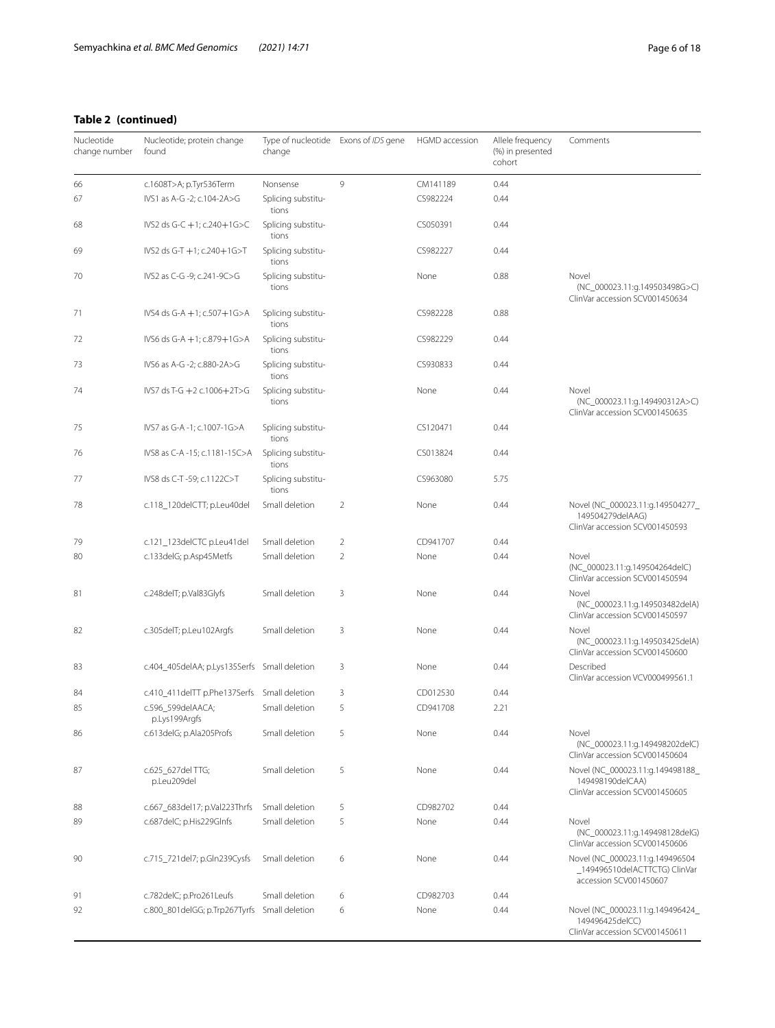# **Table 2 (continued)**

| Nucleotide<br>change number | Nucleotide; protein change<br>found          | Type of nucleotide Exons of IDS gene<br>change |                | HGMD accession | Allele frequency<br>(%) in presented<br>cohort | Comments                                                                               |
|-----------------------------|----------------------------------------------|------------------------------------------------|----------------|----------------|------------------------------------------------|----------------------------------------------------------------------------------------|
| 66                          | c.1608T>A; p.Tyr536Term                      | Nonsense                                       | 9              | CM141189       | 0.44                                           |                                                                                        |
| 67                          | IVS1 as A-G -2; c.104-2A>G                   | Splicing substitu-<br>tions                    |                | CS982224       | 0.44                                           |                                                                                        |
| 68                          | IVS2 ds G-C +1; c.240+1G>C                   | Splicing substitu-<br>tions                    |                | CS050391       | 0.44                                           |                                                                                        |
| 69                          | IVS2 ds G-T +1; c.240+1G>T                   | Splicing substitu-<br>tions                    |                | CS982227       | 0.44                                           |                                                                                        |
| 70                          | IVS2 as C-G -9; c.241-9C>G                   | Splicing substitu-<br>tions                    |                | None           | 0.88                                           | Novel<br>(NC_000023.11:g.149503498G>C)<br>ClinVar accession SCV001450634               |
| 71                          | IVS4 ds G-A +1; c.507+1G>A                   | Splicing substitu-<br>tions                    |                | CS982228       | 0.88                                           |                                                                                        |
| 72                          | IVS6 ds G-A +1; c.879+1G>A                   | Splicing substitu-<br>tions                    |                | CS982229       | 0.44                                           |                                                                                        |
| 73                          | IVS6 as A-G -2; c.880-2A>G                   | Splicing substitu-<br>tions                    |                | CS930833       | 0.44                                           |                                                                                        |
| 74                          | IVS7 ds T-G +2 c.1006+2T>G                   | Splicing substitu-<br>tions                    |                | None           | 0.44                                           | Novel<br>(NC_000023.11:g.149490312A>C)<br>ClinVar accession SCV001450635               |
| 75                          | IVS7 as G-A -1; c.1007-1G>A                  | Splicing substitu-<br>tions                    |                | CS120471       | 0.44                                           |                                                                                        |
| 76                          | IVS8 as C-A -15; c.1181-15C>A                | Splicing substitu-<br>tions                    |                | CS013824       | 0.44                                           |                                                                                        |
| 77                          | IVS8 ds C-T -59; c.1122C>T                   | Splicing substitu-<br>tions                    |                | CS963080       | 5.75                                           |                                                                                        |
| 78                          | c.118_120delCTT; p.Leu40del                  | Small deletion                                 | $\overline{2}$ | None           | 0.44                                           | Novel (NC_000023.11:g.149504277_<br>149504279delAAG)<br>ClinVar accession SCV001450593 |
| 79                          | c.121_123delCTC p.Leu41del                   | Small deletion                                 | $\overline{2}$ | CD941707       | 0.44                                           |                                                                                        |
| 80                          | c.133delG; p.Asp45Metfs                      | Small deletion                                 | $\overline{2}$ | None           | 0.44                                           | Novel<br>(NC_000023.11:g.149504264delC)<br>ClinVar accession SCV001450594              |
| 81                          | c.248delT; p.Val83Glyfs                      | Small deletion                                 | 3              | None           | 0.44                                           | Novel<br>(NC_000023.11:g.149503482delA)<br>ClinVar accession SCV001450597              |
| 82                          | c.305delT; p.Leu102Argfs                     | Small deletion                                 | 3              | None           | 0.44                                           | Novel<br>(NC_000023.11:g.149503425delA)<br>ClinVar accession SCV001450600              |
| 83                          | c.404_405delAA; p.Lys135Serfs Small deletion |                                                | 3              | None           | 0.44                                           | Described<br>ClinVar accession VCV000499561.1                                          |
| 84                          | c.410_411delTT p.Phe137Serfs                 | Small deletion                                 | 3              | CD012530       | 0.44                                           |                                                                                        |
| 85                          | c.596_599delAACA;<br>p.Lys199Argfs           | Small deletion                                 | 5              | CD941708       | 2.21                                           |                                                                                        |
| 86                          | c.613delG; p.Ala205Profs                     | Small deletion                                 | 5              | None           | 0.44                                           | Novel<br>(NC_000023.11:g.149498202delC)<br>ClinVar accession SCV001450604              |
| 87                          | c.625_627delTTG;<br>p.Leu209del              | Small deletion                                 | 5              | None           | 0.44                                           | Novel (NC_000023.11:g.149498188_<br>149498190delCAA)<br>ClinVar accession SCV001450605 |
| 88                          | c.667_683del17; p.Val223Thrfs                | Small deletion                                 | 5              | CD982702       | 0.44                                           |                                                                                        |
| 89                          | c.687delC; p.His229Glnfs                     | Small deletion                                 | 5              | None           | 0.44                                           | Novel                                                                                  |
|                             |                                              |                                                |                |                |                                                | (NC_000023.11:g.149498128delG)<br>ClinVar accession SCV001450606                       |
| 90                          | c.715_721del7; p.Gln239Cysfs                 | Small deletion                                 | 6              | None           | 0.44                                           | Novel (NC_000023.11:g.149496504<br>accession SCV001450607                              |
| 91                          | c.782delC; p.Pro261Leufs                     | Small deletion                                 | 6              | CD982703       | 0.44                                           |                                                                                        |
| 92                          | c.800_801delGG; p.Trp267Tyrfs                | Small deletion                                 | 6              | None           | 0.44                                           | Novel (NC_000023.11:g.149496424_<br>149496425delCC)<br>ClinVar accession SCV001450611  |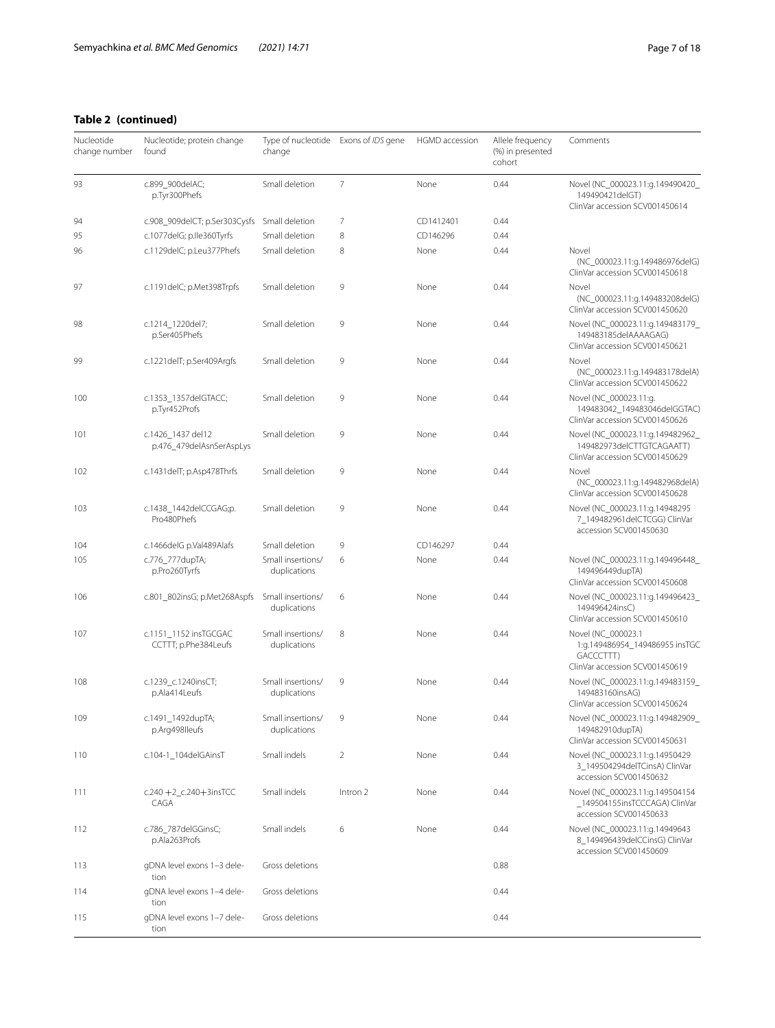| Nucleotide<br>change number | Nucleotide; protein change<br>found           | Type of nucleotide Exons of IDS gene<br>change |                | HGMD accession | Allele frequency<br>(%) in presented<br>cohort | Comments                                                                                            |
|-----------------------------|-----------------------------------------------|------------------------------------------------|----------------|----------------|------------------------------------------------|-----------------------------------------------------------------------------------------------------|
| 93                          | c.899_900delAC;<br>p.Tyr300Phefs              | Small deletion                                 | $\overline{7}$ | None           | 0.44                                           | Novel (NC_000023.11:g.149490420_<br>149490421delGT)<br>ClinVar accession SCV001450614               |
| 94                          | c.908_909delCT; p.Ser303Cysfs                 | Small deletion                                 | 7              | CD1412401      | 0.44                                           |                                                                                                     |
| 95                          | c.1077delG; p.lle360Tyrfs                     | Small deletion                                 | 8              | CD146296       | 0.44                                           |                                                                                                     |
| 96                          | c.1129delC; p.Leu377Phefs                     | Small deletion                                 | 8              | None           | 0.44                                           | Novel<br>(NC_000023.11:g.149486976delG)<br>ClinVar accession SCV001450618                           |
| 97                          | c.1191delC; p.Met398Trpfs                     | Small deletion                                 | 9              | None           | 0.44                                           | Novel<br>(NC 000023.11:g.149483208delG)<br>ClinVar accession SCV001450620                           |
| 98                          | c.1214_1220del7;<br>p.Ser405Phefs             | Small deletion                                 | 9              | None           | 0.44                                           | Novel (NC_000023.11:g.149483179_<br>149483185delAAAAGAG)<br>ClinVar accession SCV001450621          |
| 99                          | c.1221delT; p.Ser409Argfs                     | Small deletion                                 | 9              | None           | 0.44                                           | Novel<br>(NC_000023.11:g.149483178delA)<br>ClinVar accession SCV001450622                           |
| 100                         | c.1353_1357delGTACC;<br>p.Tyr452Profs         | Small deletion                                 | 9              | None           | 0.44                                           | Novel (NC 000023.11:g.<br>149483042 149483046delGGTAC)<br>ClinVar accession SCV001450626            |
| 101                         | c.1426_1437 del12<br>p.476_479delAsnSerAspLys | Small deletion                                 | 9              | None           | 0.44                                           | Novel (NC_000023.11:g.149482962_<br>149482973delCTTGTCAGAATT)<br>ClinVar accession SCV001450629     |
| 102                         | c.1431delT; p.Asp478Thrfs                     | Small deletion                                 | 9              | None           | 0.44                                           | Novel<br>(NC_000023.11:g.149482968delA)<br>ClinVar accession SCV001450628                           |
| 103                         | c.1438_1442delCCGAG;p.<br>Pro480Phefs         | Small deletion                                 | 9              | None           | 0.44                                           | Novel (NC_000023.11:g.14948295<br>7_149482961delCTCGG) ClinVar<br>accession SCV001450630            |
| 104                         | c.1466delG p.Val489Alafs                      | Small deletion                                 | 9              | CD146297       | 0.44                                           |                                                                                                     |
| 105                         | c.776_777dupTA;<br>p.Pro260Tyrfs              | Small insertions/<br>duplications              | 6              | None           | 0.44                                           | Novel (NC_000023.11:g.149496448_<br>149496449dupTA)<br>ClinVar accession SCV001450608               |
| 106                         | c.801_802insG; p.Met268Aspfs                  | Small insertions/<br>duplications              | 6              | None           | 0.44                                           | Novel (NC_000023.11:g.149496423_<br>149496424insC)<br>ClinVar accession SCV001450610                |
| 107                         | c.1151_1152 insTGCGAC<br>CCTTT; p.Phe384Leufs | Small insertions/<br>duplications              | 8              | None           | 0.44                                           | Novel (NC_000023.1<br>1:g.149486954_149486955 insTGC<br>GACCCTTT)<br>ClinVar accession SCV001450619 |
| 108                         | c.1239_c.1240insCT;<br>p.Ala414Leufs          | Small insertions/<br>duplications              | 9              | None           | 0.44                                           | Novel (NC_000023.11:g.149483159_<br>149483160insAG)<br>ClinVar accession SCV001450624               |
| 109                         | c.1491_1492dupTA;<br>p.Arg498lleufs           | Small insertions/<br>duplications              | 9              | None           | 0.44                                           | Novel (NC_000023.11:g.149482909_<br>149482910dupTA)<br>ClinVar accession SCV001450631               |
| 110                         | c.104-1 104delGAinsT                          | Small indels                                   | $\overline{2}$ | None           | 0.44                                           | Novel (NC_000023.11:g.14950429<br>3 149504294delTCinsA) ClinVar<br>accession SCV001450632           |
| 111                         | c.240 +2_c.240 + 3insTCC<br>CAGA              | Small indels                                   | Intron 2       | None           | 0.44                                           | Novel (NC_000023.11:g.149504154<br>149504155insTCCCAGA) ClinVar<br>accession SCV001450633           |
| 112                         | c.786 787delGGinsC;<br>p.Ala263Profs          | Small indels                                   | 6              | None           | 0.44                                           | Novel (NC_000023.11:g.14949643<br>8_149496439delCCinsG) ClinVar<br>accession SCV001450609           |
| 113                         | gDNA level exons 1-3 dele-<br>tion            | Gross deletions                                |                |                | 0.88                                           |                                                                                                     |
| 114                         | gDNA level exons 1-4 dele-<br>tion            | Gross deletions                                |                |                | 0.44                                           |                                                                                                     |
| 115                         | gDNA level exons 1-7 dele-<br>tion            | Gross deletions                                |                |                | 0.44                                           |                                                                                                     |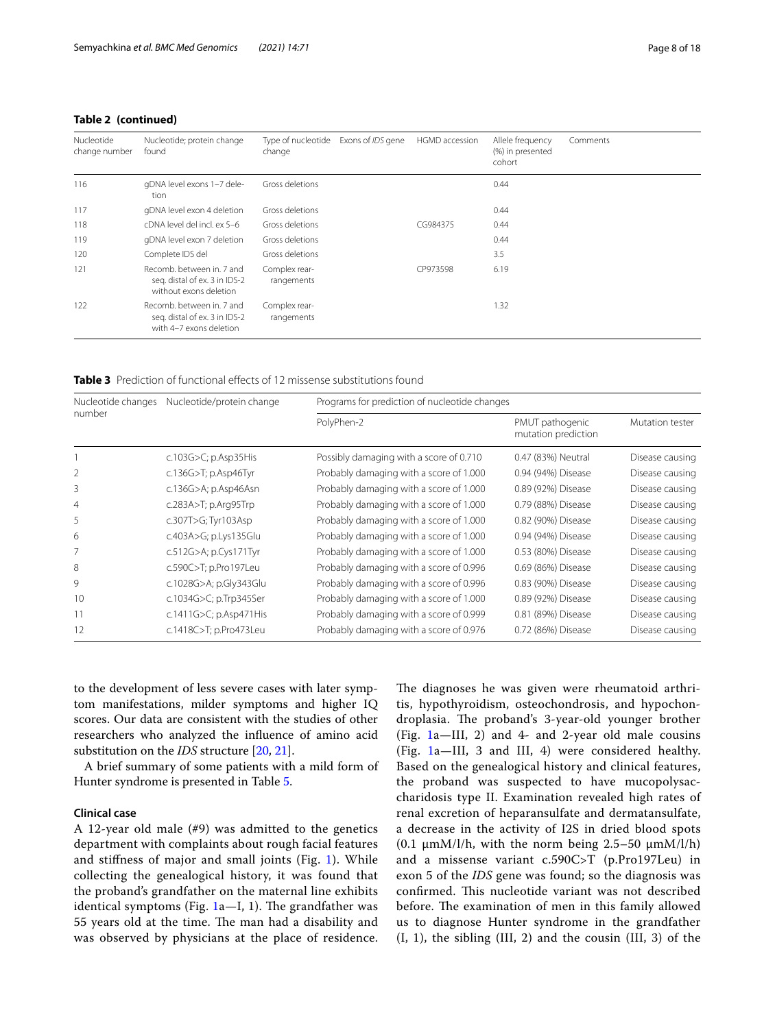# **Table 2 (continued)**

| Nucleotide<br>change number | Nucleotide; protein change<br>found                                                   | Type of nucleotide<br>change | Exons of IDS gene | HGMD accession | Allele frequency<br>(%) in presented<br>cohort | Comments |
|-----------------------------|---------------------------------------------------------------------------------------|------------------------------|-------------------|----------------|------------------------------------------------|----------|
| 116                         | gDNA level exons 1-7 dele-<br>tion                                                    | Gross deletions              |                   |                | 0.44                                           |          |
| 117                         | gDNA level exon 4 deletion                                                            | Gross deletions              |                   |                | 0.44                                           |          |
| 118                         | cDNA level del incl. ex 5-6                                                           | Gross deletions              |                   | CG984375       | 0.44                                           |          |
| 119                         | gDNA level exon 7 deletion                                                            | Gross deletions              |                   |                | 0.44                                           |          |
| 120                         | Complete IDS del                                                                      | Gross deletions              |                   |                | 3.5                                            |          |
| 121                         | Recomb, between in, 7 and<br>seg. distal of ex. 3 in IDS-2<br>without exons deletion  | Complex rear-<br>rangements  |                   | CP973598       | 6.19                                           |          |
| 122                         | Recomb, between in, 7 and<br>seg. distal of ex. 3 in IDS-2<br>with 4-7 exons deletion | Complex rear-<br>rangements  |                   |                | 1.32                                           |          |

<span id="page-7-0"></span>**Table 3** Prediction of functional effects of 12 missense substitutions found

| Nucleotide changes | Nucleotide/protein change     |                                         | Programs for prediction of nucleotide changes |                 |  |  |  |  |  |
|--------------------|-------------------------------|-----------------------------------------|-----------------------------------------------|-----------------|--|--|--|--|--|
| number             |                               | PolyPhen-2                              | PMUT pathogenic<br>mutation prediction        | Mutation tester |  |  |  |  |  |
|                    | c.103G $>C$ ; p.Asp35His      | Possibly damaging with a score of 0.710 | 0.47 (83%) Neutral                            | Disease causing |  |  |  |  |  |
|                    | c.136G>T; p.Asp46Tyr          | Probably damaging with a score of 1.000 | 0.94 (94%) Disease                            | Disease causing |  |  |  |  |  |
| 3                  | c.136G>A; p.Asp46Asn          | Probably damaging with a score of 1.000 | 0.89 (92%) Disease                            | Disease causing |  |  |  |  |  |
| 4                  | $c.283A > T$ ; p.Arg $95$ Trp | Probably damaging with a score of 1.000 | 0.79 (88%) Disease                            | Disease causing |  |  |  |  |  |
| 5                  | c.307T>G; Tyr103Asp           | Probably damaging with a score of 1.000 | 0.82 (90%) Disease                            | Disease causing |  |  |  |  |  |
| 6                  | c.403A>G; p.Lys135Glu         | Probably damaging with a score of 1.000 | 0.94 (94%) Disease                            | Disease causing |  |  |  |  |  |
|                    | c.512G>A; p.Cys171Tyr         | Probably damaging with a score of 1.000 | 0.53 (80%) Disease                            | Disease causing |  |  |  |  |  |
| 8                  | c.590C>T; p.Pro197Leu         | Probably damaging with a score of 0.996 | 0.69 (86%) Disease                            | Disease causing |  |  |  |  |  |
| 9                  | c.1028G>A; p.Gly343Glu        | Probably damaging with a score of 0.996 | 0.83 (90%) Disease                            | Disease causing |  |  |  |  |  |
| 10                 | c.1034G>C; p.Trp345Ser        | Probably damaging with a score of 1.000 | 0.89 (92%) Disease                            | Disease causing |  |  |  |  |  |
| 11                 | c.1411G>C; p.Asp471His        | Probably damaging with a score of 0.999 | 0.81 (89%) Disease                            | Disease causing |  |  |  |  |  |
| 12                 | c.1418C>T; p.Pro473Leu        | Probably damaging with a score of 0.976 | 0.72 (86%) Disease                            | Disease causing |  |  |  |  |  |

to the development of less severe cases with later symptom manifestations, milder symptoms and higher IQ scores. Our data are consistent with the studies of other researchers who analyzed the infuence of amino acid substitution on the *IDS* structure [[20,](#page-17-16) [21](#page-17-17)].

A brief summary of some patients with a mild form of Hunter syndrome is presented in Table [5.](#page-13-0)

#### **Clinical case**

A 12-year old male (#9) was admitted to the genetics department with complaints about rough facial features and stifness of major and small joints (Fig. [1](#page-14-0)). While collecting the genealogical history, it was found that the proband's grandfather on the maternal line exhibits identical symptoms (Fig.  $1a-1$  $1a-1$ , 1). The grandfather was 55 years old at the time. The man had a disability and was observed by physicians at the place of residence.

The diagnoses he was given were rheumatoid arthritis, hypothyroidism, osteochondrosis, and hypochondroplasia. The proband's 3-year-old younger brother (Fig. [1](#page-14-0)a—III, 2) and 4- and 2-year old male cousins (Fig. [1a](#page-14-0)—III, 3 and III, 4) were considered healthy. Based on the genealogical history and clinical features, the proband was suspected to have mucopolysaccharidosis type II. Examination revealed high rates of renal excretion of heparansulfate and dermatansulfate, a decrease in the activity of I2S in dried blood spots (0.1  $\mu$ mM/l/h, with the norm being 2.5–50  $\mu$ mM/l/h) and a missense variant c.590C>T (p.Pro197Leu) in exon 5 of the *IDS* gene was found; so the diagnosis was confirmed. This nucleotide variant was not described before. The examination of men in this family allowed us to diagnose Hunter syndrome in the grandfather (I, 1), the sibling (III, 2) and the cousin (III, 3) of the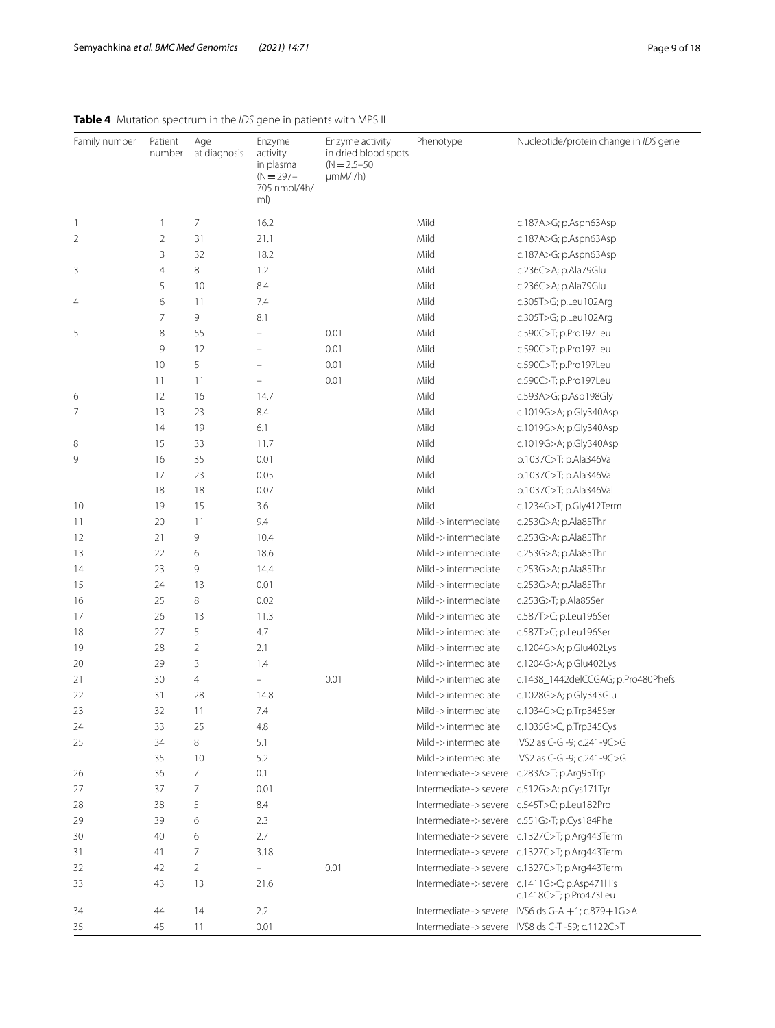| Family number | Patient<br>number | Age<br>at diagnosis | Enzyme<br>activity<br>in plasma<br>$(N = 297 -$<br>705 nmol/4h/<br>ml) | Enzyme activity<br>in dried blood spots<br>$(N = 2.5 - 50)$<br>$\mu$ mM/l/h) | Phenotype                                 | Nucleotide/protein change in IDS gene                                 |
|---------------|-------------------|---------------------|------------------------------------------------------------------------|------------------------------------------------------------------------------|-------------------------------------------|-----------------------------------------------------------------------|
| $\mathbf{1}$  | $\mathbf{1}$      | $\overline{7}$      | 16.2                                                                   |                                                                              | Mild                                      | c.187A>G; p.Aspn63Asp                                                 |
| 2             | $\overline{2}$    | 31                  | 21.1                                                                   |                                                                              | Mild                                      | c.187A>G; p.Aspn63Asp                                                 |
|               | 3                 | 32                  | 18.2                                                                   |                                                                              | Mild                                      | c.187A>G; p.Aspn63Asp                                                 |
| 3             | 4                 | 8                   | 1.2                                                                    |                                                                              | Mild                                      | c.236C>A; p.Ala79Glu                                                  |
|               | 5                 | 10                  | 8.4                                                                    |                                                                              | Mild                                      | c.236C>A; p.Ala79Glu                                                  |
| 4             | 6                 | 11                  | 7.4                                                                    |                                                                              | Mild                                      | c.305T>G; p.Leu102Arg                                                 |
|               | 7                 | 9                   | 8.1                                                                    |                                                                              | Mild                                      | c.305T>G; p.Leu102Arg                                                 |
| 5             | 8                 | 55                  | $\qquad \qquad -$                                                      | 0.01                                                                         | Mild                                      | c.590C>T; p.Pro197Leu                                                 |
|               | 9                 | 12                  | $\equiv$                                                               | 0.01                                                                         | Mild                                      | c.590C>T; p.Pro197Leu                                                 |
|               | 10                | 5                   | $\overline{\phantom{0}}$                                               | 0.01                                                                         | Mild                                      | c.590C>T; p.Pro197Leu                                                 |
|               | 11                | 11                  |                                                                        | 0.01                                                                         | Mild                                      | c.590C>T; p.Pro197Leu                                                 |
| 6             | 12                | 16                  | 14.7                                                                   |                                                                              | Mild                                      | c.593A>G; p.Asp198Gly                                                 |
| 7             | 13                | 23                  | 8.4                                                                    |                                                                              | Mild                                      | c.1019G>A; p.Gly340Asp                                                |
|               | 14                | 19                  | 6.1                                                                    |                                                                              | Mild                                      | c.1019G>A; p.Gly340Asp                                                |
| 8             | 15                | 33                  | 11.7                                                                   |                                                                              | Mild                                      | c.1019G>A; p.Gly340Asp                                                |
| 9             | 16                | 35                  | 0.01                                                                   |                                                                              | Mild                                      | p.1037C>T; p.Ala346Val                                                |
|               | 17                | 23                  | 0.05                                                                   |                                                                              | Mild                                      | p.1037C>T; p.Ala346Val                                                |
|               | 18                | 18                  | 0.07                                                                   |                                                                              | Mild                                      | p.1037C>T; p.Ala346Val                                                |
| 10            | 19                | 15                  | 3.6                                                                    |                                                                              | Mild                                      | c.1234G>T; p.Gly412Term                                               |
| 11            | 20                | 11                  | 9.4                                                                    |                                                                              | Mild->intermediate                        | c.253G>A; p.Ala85Thr                                                  |
| 12            | 21                | 9                   | 10.4                                                                   |                                                                              | Mild->intermediate                        | c.253G>A; p.Ala85Thr                                                  |
| 13            | 22                | 6                   | 18.6                                                                   |                                                                              | Mild->intermediate                        | c.253G>A; p.Ala85Thr                                                  |
| 14            | 23                | 9                   | 14.4                                                                   |                                                                              | Mild->intermediate                        | c.253G>A; p.Ala85Thr                                                  |
| 15            | 24                | 13                  | 0.01                                                                   |                                                                              | Mild->intermediate                        | c.253G>A; p.Ala85Thr                                                  |
| 16            | 25                | 8                   | 0.02                                                                   |                                                                              | Mild->intermediate                        | c.253G>T; p.Ala85Ser                                                  |
| 17            | 26                | 13                  | 11.3                                                                   |                                                                              | Mild->intermediate                        | c.587T>C; p.Leu196Ser                                                 |
| 18            | 27                | 5                   | 4.7                                                                    |                                                                              | Mild->intermediate                        | c.587T>C; p.Leu196Ser                                                 |
| 19            | 28                | 2                   | 2.1                                                                    |                                                                              | Mild->intermediate                        | c.1204G>A; p.Glu402Lys                                                |
| 20            | 29                | 3                   | 1.4                                                                    |                                                                              | Mild->intermediate                        | c.1204G>A; p.Glu402Lys                                                |
| 21            | 30                | 4                   | $\qquad \qquad -$                                                      | 0.01                                                                         | Mild->intermediate                        | c.1438_1442delCCGAG; p.Pro480Phefs                                    |
| 22            | 31                | 28                  | 14.8                                                                   |                                                                              | Mild->intermediate                        | c.1028G>A; p.Gly343Glu                                                |
| 23            | 32                | 11                  | 7.4                                                                    |                                                                              | Mild->intermediate                        | c.1034G>C; p.Trp345Ser                                                |
| 24            | 33                | 25                  | 4.8                                                                    |                                                                              | Mild->intermediate                        | c.1035G>C, p.Trp345Cys                                                |
| 25            | 34                | 8                   | 5.1                                                                    |                                                                              | Mild->intermediate                        | IVS2 as C-G -9; c.241-9C>G                                            |
|               | 35                | 10                  | 5.2                                                                    |                                                                              | Mild->intermediate                        | IVS2 as C-G -9; c.241-9C>G                                            |
| 26            | 36                | 7                   | 0.1                                                                    |                                                                              | Intermediate->severe c.283A>T; p.Arg95Trp |                                                                       |
| 27            | 37                | 7                   | 0.01                                                                   |                                                                              |                                           | Intermediate->severe c.512G>A; p.Cys171Tyr                            |
| 28            | 38                | 5                   | 8.4                                                                    |                                                                              |                                           | Intermediate->severe c.545T>C; p.Leu182Pro                            |
| 29            | 39                | 6                   | 2.3                                                                    |                                                                              |                                           | Intermediate->severe c.551G>T; p.Cys184Phe                            |
| 30            | 40                | 6                   | 2.7                                                                    |                                                                              |                                           | Intermediate->severe c.1327C>T; p.Arg443Term                          |
| 31            | 41                | 7                   | 3.18                                                                   |                                                                              |                                           | Intermediate->severe c.1327C>T; p.Arg443Term                          |
| 32            | 42                | 2                   | $\frac{1}{2}$                                                          | 0.01                                                                         |                                           | Intermediate->severe c.1327C>T; p.Arg443Term                          |
| 33            | 43                | 13                  | 21.6                                                                   |                                                                              |                                           | Intermediate->severe c.1411G>C; p.Asp471His<br>c.1418C>T; p.Pro473Leu |
| 34            | 44                | 14                  | 2.2                                                                    |                                                                              |                                           | Intermediate->severe IVS6 ds G-A +1; c.879+1G>A                       |
| 35            | 45                | 11                  | 0.01                                                                   |                                                                              |                                           |                                                                       |

# <span id="page-8-0"></span>**Table 4** Mutation spectrum in the *IDS* gene in patients with MPS II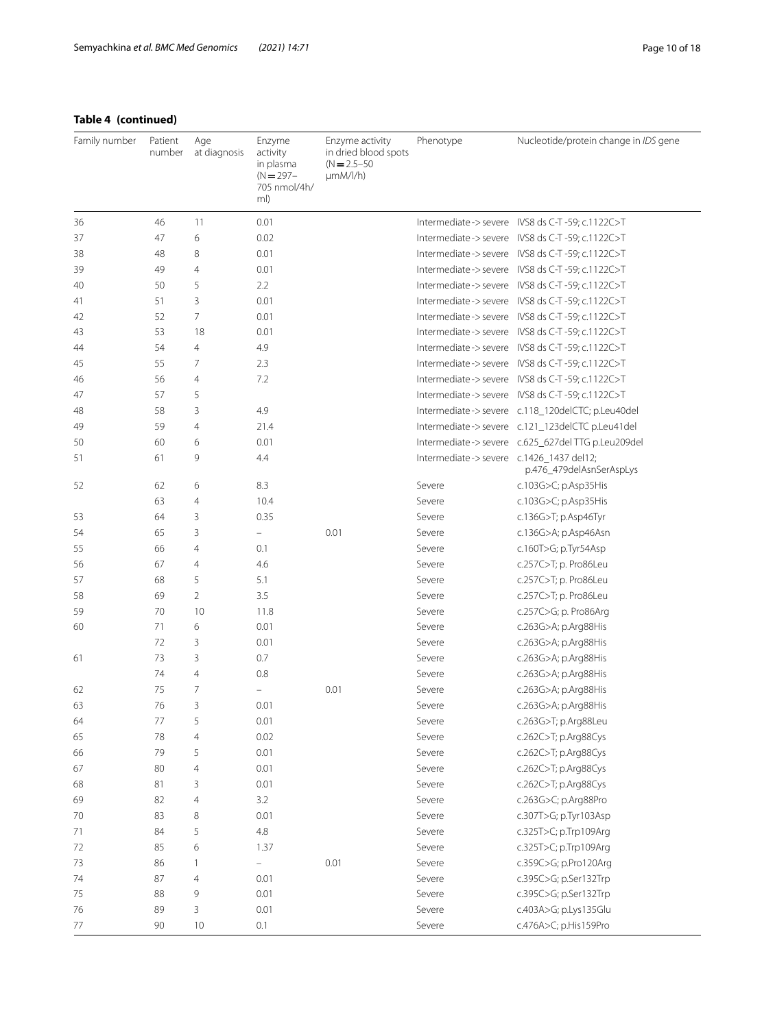| Family number | Patient<br>number | Age<br>at diagnosis | Enzyme<br>activity<br>in plasma<br>$(N = 297 -$<br>705 nmol/4h/<br>ml) | Enzyme activity<br>in dried blood spots<br>$(N = 2.5 - 50)$<br>$\mu$ mM/l/h) | Phenotype                               | Nucleotide/protein change in IDS gene               |
|---------------|-------------------|---------------------|------------------------------------------------------------------------|------------------------------------------------------------------------------|-----------------------------------------|-----------------------------------------------------|
| 36            | 46                | 11                  | 0.01                                                                   |                                                                              |                                         | Intermediate->severe IVS8 ds C-T-59; c.1122C>T      |
| 37            | 47                | 6                   | 0.02                                                                   |                                                                              |                                         | Intermediate -> severe IVS8 ds C-T -59; c.1122C>T   |
| 38            | 48                | 8                   | 0.01                                                                   |                                                                              |                                         | Intermediate->severe IVS8 ds C-T-59; c.1122C>T      |
| 39            | 49                | $\overline{4}$      | 0.01                                                                   |                                                                              |                                         |                                                     |
| 40            | 50                | 5                   | 2.2                                                                    |                                                                              |                                         | Intermediate->severe IVS8 ds C-T-59; c.1122C>T      |
| 41            | 51                | 3                   | 0.01                                                                   |                                                                              |                                         | Intermediate->severe IVS8 ds C-T-59; c.1122C>T      |
| 42            | 52                | 7                   | 0.01                                                                   |                                                                              |                                         | Intermediate->severe IVS8 ds C-T-59; c.1122C>T      |
| 43            | 53                | 18                  | 0.01                                                                   |                                                                              |                                         |                                                     |
| 44            | 54                | $\overline{4}$      | 4.9                                                                    |                                                                              |                                         | Intermediate->severe IVS8 ds C-T-59; c.1122C>T      |
| 45            | 55                | 7                   | 2.3                                                                    |                                                                              |                                         | Intermediate -> severe IVS8 ds C-T -59; c.1122C>T   |
| 46            | 56                | $\overline{4}$      | 7.2                                                                    |                                                                              |                                         | Intermediate->severe IVS8 ds C-T-59; c.1122C>T      |
| 47            | 57                | 5                   |                                                                        |                                                                              |                                         | Intermediate->severe IVS8 ds C-T-59; c.1122C>T      |
| 48            | 58                | 3                   | 4.9                                                                    |                                                                              |                                         | Intermediate->severe c.118_120delCTC; p.Leu40del    |
| 49            | 59                | 4                   | 21.4                                                                   |                                                                              |                                         | Intermediate->severe c.121_123delCTC p.Leu41del     |
| 50            | 60                | 6                   | 0.01                                                                   |                                                                              |                                         | Intermediate -> severe c.625_627del TTG p.Leu209del |
| 51            | 61                | 9                   | 4.4                                                                    |                                                                              | Intermediate->severe c.1426_1437 del12; | p.476_479delAsnSerAspLys                            |
| 52            | 62                | 6                   | 8.3                                                                    |                                                                              | Severe                                  | c.103G>C; p.Asp35His                                |
|               | 63                | $\overline{4}$      | 10.4                                                                   |                                                                              | Severe                                  | c.103G>C; p.Asp35His                                |
| 53            | 64                | 3                   | 0.35                                                                   |                                                                              | Severe                                  | c.136G>T; p.Asp46Tyr                                |
| 54            | 65                | 3                   |                                                                        | 0.01                                                                         | Severe                                  | c.136G>A; p.Asp46Asn                                |
| 55            | 66                | $\overline{4}$      | 0.1                                                                    |                                                                              | Severe                                  | c.160T>G; p.Tyr54Asp                                |
| 56            | 67                | $\overline{4}$      | 4.6                                                                    |                                                                              | Severe                                  | c.257C>T; p. Pro86Leu                               |
| 57            | 68                | 5                   | 5.1                                                                    |                                                                              | Severe                                  | c.257C>T; p. Pro86Leu                               |
| 58            | 69                | $\overline{2}$      | 3.5                                                                    |                                                                              | Severe                                  | c.257C>T; p. Pro86Leu                               |
| 59            | 70                | 10                  | 11.8                                                                   |                                                                              | Severe                                  | c.257C>G; p. Pro86Arg                               |
| 60            | 71                | 6                   | 0.01                                                                   |                                                                              | Severe                                  | c.263G>A; p.Arg88His                                |
|               | 72                | 3                   | 0.01                                                                   |                                                                              | Severe                                  | c.263G>A; p.Arg88His                                |
| 61            | 73                | 3                   | 0.7                                                                    |                                                                              | Severe                                  | c.263G>A; p.Arg88His                                |
|               | 74                | $\overline{4}$      | 0.8                                                                    |                                                                              | Severe                                  | c.263G>A; p.Arg88His                                |
| 62            | 75                | $\overline{7}$      | $\equiv$                                                               | 0.01                                                                         | Severe                                  | c.263G>A; p.Arg88His                                |
| 63            | 76                | 3                   | 0.01                                                                   |                                                                              | Severe                                  | c.263G>A; p.Arg88His                                |
| 64            | 77                | 5                   | 0.01                                                                   |                                                                              | Severe                                  | c.263G>T; p.Arg88Leu                                |
| 65            | 78                | 4                   | 0.02                                                                   |                                                                              | Severe                                  | c.262C>T; p.Arg88Cys                                |
| 66            | 79                | 5                   | 0.01                                                                   |                                                                              | Severe                                  | c.262C>T; p.Arg88Cys                                |
| 67            | 80                | $\overline{4}$      | 0.01                                                                   |                                                                              | Severe                                  | c.262C>T; p.Arg88Cys                                |
| 68            | 81                | $\mathsf 3$         | 0.01                                                                   |                                                                              | Severe                                  | c.262C>T; p.Arg88Cys                                |
| 69            | 82                | $\overline{4}$      | 3.2                                                                    |                                                                              | Severe                                  | c.263G>C; p.Arg88Pro                                |
| 70            | 83                | $\,8\,$             | 0.01                                                                   |                                                                              | Severe                                  | c.307T>G; p.Tyr103Asp                               |
| 71            | 84                | 5                   | $4.8\,$                                                                |                                                                              | Severe                                  | c.325T>C; p.Trp109Arg                               |
| 72            | 85                | 6                   | 1.37                                                                   |                                                                              | Severe                                  | c.325T>C; p.Trp109Arg                               |
| 73            | 86                | $\overline{1}$      | $\frac{1}{2}$                                                          | 0.01                                                                         | Severe                                  | c.359C>G; p.Pro120Arg                               |
| 74            | 87                | $\overline{4}$      | 0.01                                                                   |                                                                              | Severe                                  | c.395C>G; p.Ser132Trp                               |
| 75            | 88                | 9                   | 0.01                                                                   |                                                                              | Severe                                  | c.395C>G; p.Ser132Trp                               |
| 76            | 89                | 3                   | 0.01                                                                   |                                                                              | Severe                                  | c.403A>G; p.Lys135Glu                               |
| 77            | 90                | 10                  | 0.1                                                                    |                                                                              | Severe                                  | c.476A>C; p.His159Pro                               |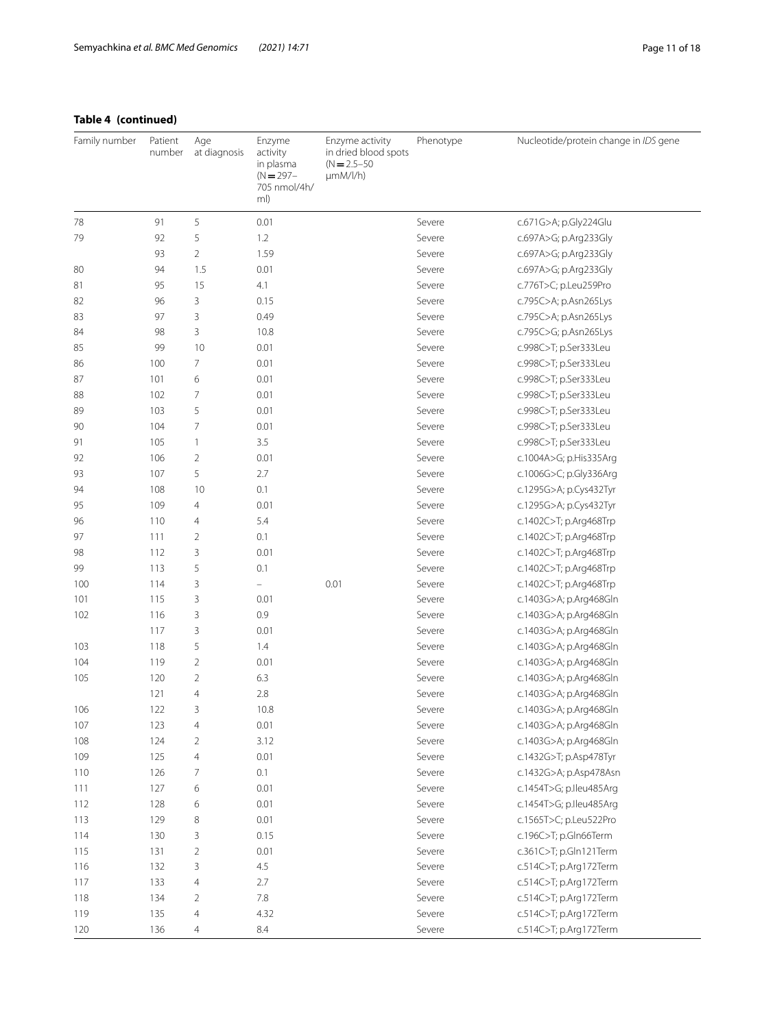# **Table 4 (continued)**

| Family number | Patient<br>number | Age<br>at diagnosis | Enzyme<br>activity<br>in plasma<br>$(N = 297 -$<br>705 nmol/4h/<br>ml) | Enzyme activity<br>in dried blood spots<br>$(N = 2.5 - 50)$<br>µmM/l/h) | Phenotype | Nucleotide/protein change in IDS gene |
|---------------|-------------------|---------------------|------------------------------------------------------------------------|-------------------------------------------------------------------------|-----------|---------------------------------------|
| 78            | 91                | 5                   | 0.01                                                                   |                                                                         | Severe    | c.671G>A; p.Gly224Glu                 |
| 79            | 92                | 5                   | 1.2                                                                    |                                                                         | Severe    | c.697A>G; p.Arg233Gly                 |
|               | 93                | $\overline{2}$      | 1.59                                                                   |                                                                         | Severe    | c.697A>G; p.Arg233Gly                 |
| 80            | 94                | 1.5                 | 0.01                                                                   |                                                                         | Severe    | c.697A>G; p.Arg233Gly                 |
| 81            | 95                | 15                  | 4.1                                                                    |                                                                         | Severe    | c.776T>C; p.Leu259Pro                 |
| 82            | 96                | 3                   | 0.15                                                                   |                                                                         | Severe    | c.795C>A; p.Asn265Lys                 |
| 83            | 97                | 3                   | 0.49                                                                   |                                                                         | Severe    | c.795C>A; p.Asn265Lys                 |
| 84            | 98                | 3                   | 10.8                                                                   |                                                                         | Severe    | c.795C>G; p.Asn265Lys                 |
| 85            | 99                | 10                  | 0.01                                                                   |                                                                         | Severe    | c.998C>T; p.Ser333Leu                 |
| 86            | 100               | $\overline{7}$      | 0.01                                                                   |                                                                         | Severe    | c.998C>T; p.Ser333Leu                 |
| 87            | 101               | 6                   | 0.01                                                                   |                                                                         | Severe    | c.998C>T; p.Ser333Leu                 |
| 88            | 102               | $\overline{7}$      | 0.01                                                                   |                                                                         | Severe    | c.998C>T; p.Ser333Leu                 |
| 89            | 103               | 5                   | 0.01                                                                   |                                                                         | Severe    | c.998C>T; p.Ser333Leu                 |
| 90            | 104               | $\overline{7}$      | 0.01                                                                   |                                                                         | Severe    | c.998C>T; p.Ser333Leu                 |
| 91            | 105               | $\mathbf{1}$        | 3.5                                                                    |                                                                         | Severe    | c.998C>T; p.Ser333Leu                 |
| 92            | 106               | $\overline{2}$      | 0.01                                                                   |                                                                         | Severe    | c.1004A>G; p.His335Arg                |
| 93            | 107               | 5                   | 2.7                                                                    |                                                                         | Severe    | c.1006G>C; p.Gly336Arg                |
| 94            | 108               | 10                  | 0.1                                                                    |                                                                         | Severe    | c.1295G>A; p.Cys432Tyr                |
| 95            | 109               | $\overline{4}$      | 0.01                                                                   |                                                                         | Severe    | c.1295G>A; p.Cys432Tyr                |
| 96            | 110               | $\overline{4}$      | 5.4                                                                    |                                                                         | Severe    | c.1402C>T; p.Arg468Trp                |
| 97            | 111               | $\overline{2}$      | 0.1                                                                    |                                                                         | Severe    | c.1402C>T; p.Arg468Trp                |
| 98            | 112               | 3                   | 0.01                                                                   |                                                                         | Severe    | c.1402C>T; p.Arg468Trp                |
| 99            | 113               | 5                   | 0.1                                                                    |                                                                         | Severe    | c.1402C>T; p.Arg468Trp                |
| 100           | 114               | 3                   | $\overline{\phantom{0}}$                                               | 0.01                                                                    | Severe    | c.1402C>T; p.Arg468Trp                |
| 101           | 115               | 3                   | 0.01                                                                   |                                                                         | Severe    | c.1403G>A; p.Arg468Gln                |
| 102           | 116               | 3                   | 0.9                                                                    |                                                                         | Severe    | c.1403G>A; p.Arg468Gln                |
|               | 117               | 3                   | 0.01                                                                   |                                                                         | Severe    | c.1403G>A; p.Arg468Gln                |
| 103           | 118               | 5                   | 1.4                                                                    |                                                                         | Severe    | c.1403G>A; p.Arg468Gln                |
| 104           | 119               | $\overline{2}$      | 0.01                                                                   |                                                                         | Severe    | c.1403G>A; p.Arg468Gln                |
| 105           | 120               | $\overline{2}$      | 6.3                                                                    |                                                                         | Severe    | c.1403G>A; p.Arg468Gln                |
|               | 121               | $\overline{4}$      | 2.8                                                                    |                                                                         | Severe    | c.1403G>A; p.Arg468Gln                |
| 106           | 122               | 3                   | 10.8                                                                   |                                                                         | Severe    | c.1403G>A; p.Arg468Gln                |
| 107           | 123               | $\overline{4}$      | 0.01                                                                   |                                                                         | Severe    | c.1403G>A; p.Arg468Gln                |
| 108           | 124               | $\sqrt{2}$          | 3.12                                                                   |                                                                         | Severe    | c.1403G>A; p.Arg468Gln                |
| 109           | 125               | $\overline{4}$      | 0.01                                                                   |                                                                         | Severe    | c.1432G>T; p.Asp478Tyr                |
| 110           | 126               | $\overline{7}$      | 0.1                                                                    |                                                                         | Severe    | c.1432G>A; p.Asp478Asn                |
| 111           | 127               | 6                   | 0.01                                                                   |                                                                         | Severe    | c.1454T>G; p.lleu485Arg               |
| 112           | 128               | 6                   | 0.01                                                                   |                                                                         | Severe    | c.1454T>G; p.lleu485Arg               |
| 113           | 129               | $\,8\,$             | 0.01                                                                   |                                                                         | Severe    | c.1565T>C; p.Leu522Pro                |
| 114           | 130               | 3                   | 0.15                                                                   |                                                                         | Severe    | c.196C>T; p.Gln66Term                 |
| 115           | 131               | $\overline{2}$      | 0.01                                                                   |                                                                         | Severe    | c.361C>T; p.Gln121Term                |
| 116           | 132               | 3                   | 4.5                                                                    |                                                                         | Severe    | c.514C>T; p.Arg172Term                |
| 117           | 133               | $\overline{4}$      | 2.7                                                                    |                                                                         | Severe    | c.514C>T; p.Arg172Term                |
| 118           | 134               | $\overline{2}$      | 7.8                                                                    |                                                                         | Severe    | c.514C>T; p.Arg172Term                |
| 119           | 135               | $\overline{4}$      | 4.32                                                                   |                                                                         | Severe    | c.514C>T; p.Arg172Term                |
| 120           | 136               | $\overline{4}$      | 8.4                                                                    |                                                                         | Severe    | c.514C>T; p.Arg172Term                |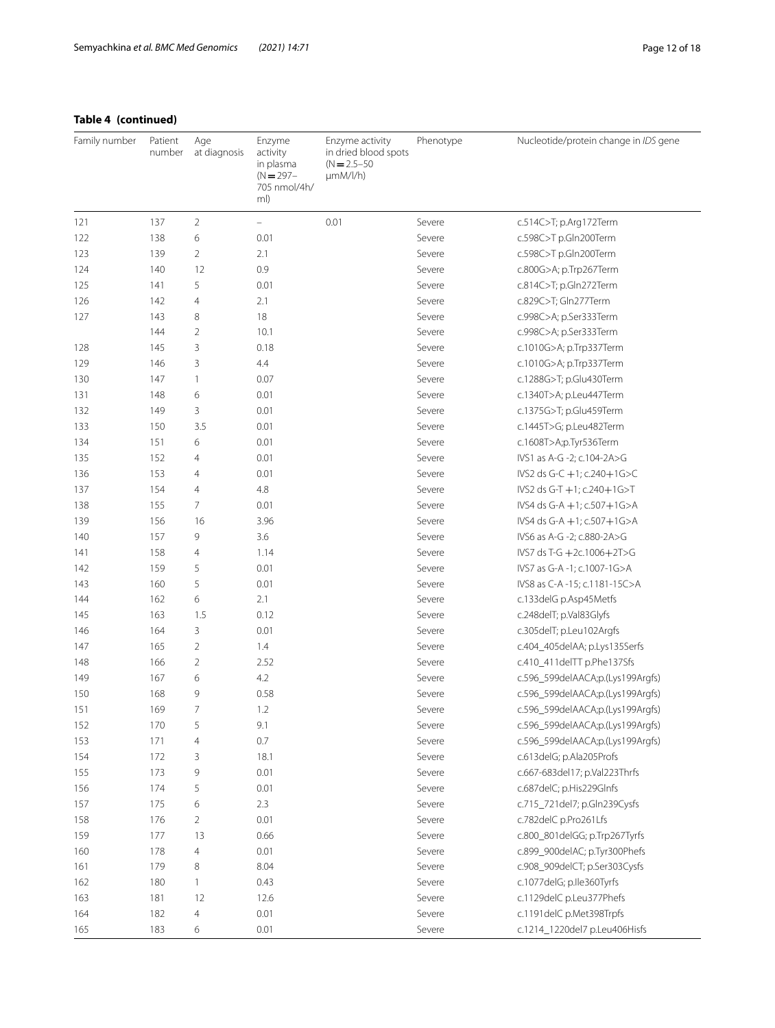# **Table 4 (continued)**

| Family number | Patient<br>number | Age<br>at diagnosis | Enzyme<br>activity<br>in plasma<br>$(N = 297 -$<br>705 nmol/4h/<br>ml)    | Enzyme activity<br>in dried blood spots<br>$(N = 2.5 - 50)$<br>$\mu$ mM/l/h) | Phenotype | Nucleotide/protein change in IDS gene |
|---------------|-------------------|---------------------|---------------------------------------------------------------------------|------------------------------------------------------------------------------|-----------|---------------------------------------|
| 121           | 137               | 2                   | $\hspace{1.0cm} \rule{1.5cm}{0.15cm} \hspace{1.0cm} \rule{1.5cm}{0.15cm}$ | 0.01                                                                         | Severe    | c.514C>T; p.Arg172Term                |
| 122           | 138               | 6                   | 0.01                                                                      |                                                                              | Severe    | c.598C>T p.Gln200Term                 |
| 123           | 139               | 2                   | 2.1                                                                       |                                                                              | Severe    | c.598C>T p.Gln200Term                 |
| 124           | 140               | 12                  | 0.9                                                                       |                                                                              | Severe    | c.800G>A; p.Trp267Term                |
| 125           | 141               | 5                   | 0.01                                                                      |                                                                              | Severe    | c.814C>T; p.Gln272Term                |
| 126           | 142               | 4                   | 2.1                                                                       |                                                                              | Severe    | c.829C>T; Gln277Term                  |
| 127           | 143               | 8                   | 18                                                                        |                                                                              | Severe    | c.998C>A; p.Ser333Term                |
|               | 144               | $\overline{2}$      | 10.1                                                                      |                                                                              | Severe    | c.998C>A; p.Ser333Term                |
| 128           | 145               | 3                   | 0.18                                                                      |                                                                              | Severe    | c.1010G>A; p.Trp337Term               |
| 129           | 146               | 3                   | 4.4                                                                       |                                                                              | Severe    | c.1010G>A; p.Trp337Term               |
| 130           | 147               | 1                   | 0.07                                                                      |                                                                              | Severe    | c.1288G>T; p.Glu430Term               |
| 131           | 148               | 6                   | 0.01                                                                      |                                                                              | Severe    | c.1340T>A; p.Leu447Term               |
| 132           | 149               | 3                   | 0.01                                                                      |                                                                              | Severe    | c.1375G>T; p.Glu459Term               |
| 133           | 150               | 3.5                 | 0.01                                                                      |                                                                              | Severe    | c.1445T>G; p.Leu482Term               |
| 134           | 151               | 6                   | 0.01                                                                      |                                                                              | Severe    | c.1608T>A;p.Tyr536Term                |
| 135           | 152               | 4                   | 0.01                                                                      |                                                                              | Severe    | IVS1 as A-G -2; c.104-2A>G            |
| 136           | 153               | 4                   | 0.01                                                                      |                                                                              | Severe    | IVS2 ds G-C +1; c.240+1G>C            |
| 137           | 154               | 4                   | 4.8                                                                       |                                                                              | Severe    | $IVS2$ ds G-T $+1$ ; c.240 $+1$ G>T   |
| 138           | 155               | 7                   | 0.01                                                                      |                                                                              | Severe    | IVS4 ds G-A +1; c.507+1G>A            |
| 139           | 156               | 16                  | 3.96                                                                      |                                                                              | Severe    | IVS4 ds G-A +1; c.507+1G>A            |
| 140           | 157               | 9                   | 3.6                                                                       |                                                                              | Severe    | IVS6 as A-G -2; c.880-2A>G            |
| 141           | 158               | 4                   | 1.14                                                                      |                                                                              | Severe    | IVS7 ds T-G +2c.1006+2T>G             |
| 142           | 159               | 5                   | 0.01                                                                      |                                                                              | Severe    | IVS7 as G-A -1; c.1007-1G>A           |
| 143           | 160               | 5                   | 0.01                                                                      |                                                                              | Severe    | IVS8 as C-A -15; c.1181-15C>A         |
| 144           | 162               | 6                   | 2.1                                                                       |                                                                              | Severe    | c.133delG p.Asp45Metfs                |
| 145           | 163               | 1.5                 | 0.12                                                                      |                                                                              | Severe    | c.248delT; p.Val83Glyfs               |
| 146           | 164               | 3                   | 0.01                                                                      |                                                                              | Severe    | c.305delT; p.Leu102Argfs              |
| 147           | 165               | 2                   | 1.4                                                                       |                                                                              | Severe    | c.404_405delAA; p.Lys135Serfs         |
| 148           | 166               | $\overline{2}$      | 2.52                                                                      |                                                                              | Severe    | c.410_411delTT p.Phe137Sfs            |
| 149           | 167               | 6                   | 4.2                                                                       |                                                                              | Severe    | c.596_599delAACA;p.(Lys199Argfs)      |
| 150           | 168               | 9                   | 0.58                                                                      |                                                                              | Severe    | c.596_599delAACA;p.(Lys199Argfs)      |
| 151           | 169               | 7                   | 1.2                                                                       |                                                                              | Severe    | c.596_599delAACA;p.(Lys199Argfs)      |
| 152           | 170               | 5                   | 9.1                                                                       |                                                                              | Severe    | c.596_599delAACA;p.(Lys199Argfs)      |
| 153           | 171               | $\overline{4}$      | 0.7                                                                       |                                                                              | Severe    | c.596_599delAACA;p.(Lys199Argfs)      |
| 154           | 172               | 3                   | 18.1                                                                      |                                                                              | Severe    | c.613delG; p.Ala205Profs              |
| 155           | 173               | 9                   | 0.01                                                                      |                                                                              | Severe    | c.667-683del17; p.Val223Thrfs         |
| 156           | 174               | 5                   | 0.01                                                                      |                                                                              | Severe    | c.687delC; p.His229Glnfs              |
| 157           | 175               | 6                   | 2.3                                                                       |                                                                              | Severe    | c.715_721del7; p.Gln239Cysfs          |
| 158           | 176               | 2                   | 0.01                                                                      |                                                                              | Severe    | c.782delC p.Pro261Lfs                 |
| 159           | 177               | 13                  | 0.66                                                                      |                                                                              | Severe    | c.800_801delGG; p.Trp267Tyrfs         |
| 160           | 178               | $\overline{4}$      | 0.01                                                                      |                                                                              | Severe    | c.899_900delAC; p.Tyr300Phefs         |
| 161           | 179               | 8                   | 8.04                                                                      |                                                                              | Severe    | c.908_909delCT; p.Ser303Cysfs         |
| 162           | 180               | 1                   | 0.43                                                                      |                                                                              | Severe    | c.1077delG; p.lle360Tyrfs             |
| 163           | 181               | 12                  | 12.6                                                                      |                                                                              | Severe    | c.1129delC p.Leu377Phefs              |
| 164           | 182               | 4                   | 0.01                                                                      |                                                                              | Severe    | c.1191delC p.Met398Trpfs              |
| 165           | 183               | 6                   | 0.01                                                                      |                                                                              | Severe    | c.1214_1220del7 p.Leu406Hisfs         |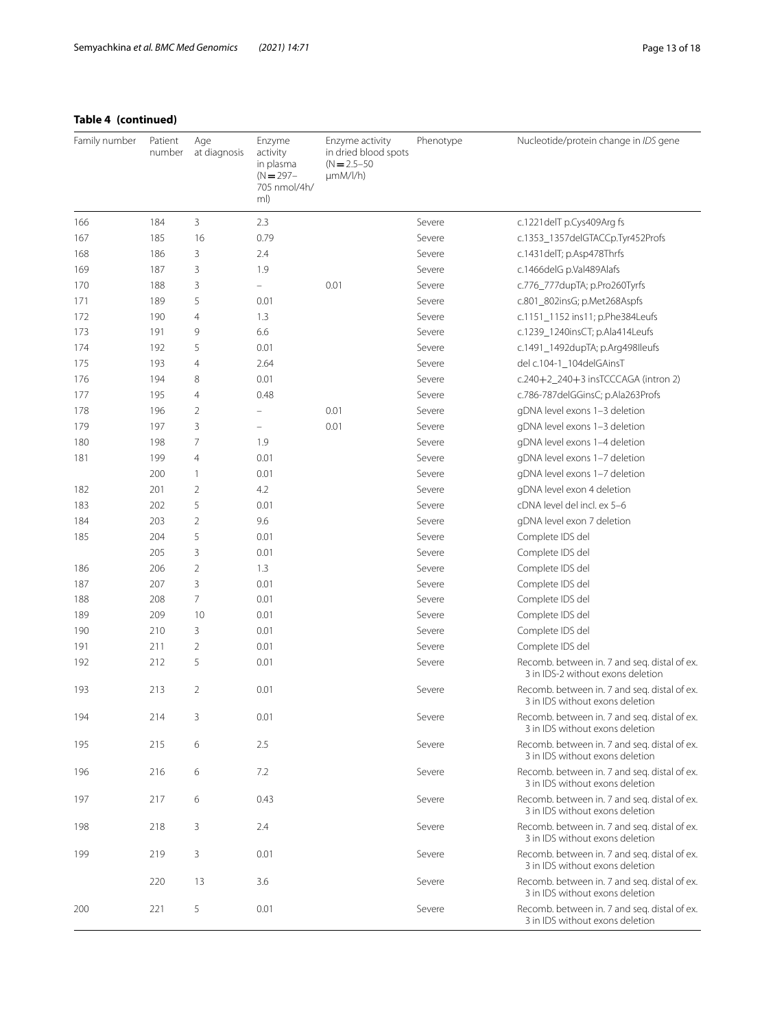# **Table 4 (continued)**

| Family number | Patient<br>number | Age<br>at diagnosis | Enzyme<br>activity<br>in plasma<br>$(N = 297 -$<br>705 nmol/4h/<br>ml) | Enzyme activity<br>in dried blood spots<br>$(N = 2.5 - 50)$<br>$\mu$ mM/l/h) | Phenotype | Nucleotide/protein change in IDS gene                                             |
|---------------|-------------------|---------------------|------------------------------------------------------------------------|------------------------------------------------------------------------------|-----------|-----------------------------------------------------------------------------------|
| 166           | 184               | 3                   | 2.3                                                                    |                                                                              | Severe    | c.1221delT p.Cys409Arg fs                                                         |
| 167           | 185               | 16                  | 0.79                                                                   |                                                                              | Severe    | c.1353_1357delGTACCp.Tyr452Profs                                                  |
| 168           | 186               | 3                   | 2.4                                                                    |                                                                              | Severe    | c.1431delT; p.Asp478Thrfs                                                         |
| 169           | 187               | 3                   | 1.9                                                                    |                                                                              | Severe    | c.1466delG p.Val489Alafs                                                          |
| 170           | 188               | 3                   | $\equiv$                                                               | 0.01                                                                         | Severe    | c.776_777dupTA; p.Pro260Tyrfs                                                     |
| 171           | 189               | 5                   | 0.01                                                                   |                                                                              | Severe    | c.801_802insG; p.Met268Aspfs                                                      |
| 172           | 190               | $\overline{4}$      | 1.3                                                                    |                                                                              | Severe    | c.1151_1152 ins11; p.Phe384Leufs                                                  |
| 173           | 191               | 9                   | 6.6                                                                    |                                                                              | Severe    | c.1239_1240insCT; p.Ala414Leufs                                                   |
| 174           | 192               | 5                   | 0.01                                                                   |                                                                              | Severe    | c.1491_1492dupTA; p.Arg498Ileufs                                                  |
| 175           | 193               | $\overline{4}$      | 2.64                                                                   |                                                                              | Severe    | del c.104-1_104delGAinsT                                                          |
| 176           | 194               | 8                   | 0.01                                                                   |                                                                              | Severe    | $c.240+2\_240+3$ insTCCCAGA (intron 2)                                            |
| 177           | 195               | $\overline{4}$      | 0.48                                                                   |                                                                              | Severe    | c.786-787delGGinsC; p.Ala263Profs                                                 |
| 178           | 196               | 2                   | $\overline{\phantom{0}}$                                               | 0.01                                                                         | Severe    | gDNA level exons 1-3 deletion                                                     |
| 179           | 197               | 3                   | $\overline{\phantom{a}}$                                               | 0.01                                                                         | Severe    | gDNA level exons 1-3 deletion                                                     |
| 180           | 198               | 7                   | 1.9                                                                    |                                                                              | Severe    | gDNA level exons 1-4 deletion                                                     |
| 181           | 199               | $\overline{4}$      | 0.01                                                                   |                                                                              | Severe    | gDNA level exons 1-7 deletion                                                     |
|               | 200               | 1                   | 0.01                                                                   |                                                                              | Severe    | gDNA level exons 1-7 deletion                                                     |
| 182           | 201               | $\overline{2}$      | 4.2                                                                    |                                                                              | Severe    | gDNA level exon 4 deletion                                                        |
| 183           | 202               | 5                   | 0.01                                                                   |                                                                              | Severe    | cDNA level del incl. ex 5-6                                                       |
| 184           | 203               | $\overline{2}$      | 9.6                                                                    |                                                                              | Severe    | gDNA level exon 7 deletion                                                        |
| 185           | 204               | 5                   | 0.01                                                                   |                                                                              | Severe    | Complete IDS del                                                                  |
|               | 205               | 3                   | 0.01                                                                   |                                                                              | Severe    | Complete IDS del                                                                  |
| 186           | 206               | $\overline{2}$      | 1.3                                                                    |                                                                              | Severe    | Complete IDS del                                                                  |
| 187           | 207               | 3                   | 0.01                                                                   |                                                                              | Severe    | Complete IDS del                                                                  |
| 188           | 208               | 7                   | 0.01                                                                   |                                                                              | Severe    | Complete IDS del                                                                  |
| 189           | 209               | 10                  | 0.01                                                                   |                                                                              | Severe    | Complete IDS del                                                                  |
| 190           | 210               | 3                   | 0.01                                                                   |                                                                              | Severe    | Complete IDS del                                                                  |
| 191           | 211               | $\overline{2}$      | 0.01                                                                   |                                                                              | Severe    | Complete IDS del                                                                  |
| 192           | 212               | 5                   | 0.01                                                                   |                                                                              | Severe    | Recomb. between in. 7 and seg. distal of ex.<br>3 in IDS-2 without exons deletion |
| 193           | 213               | $\overline{2}$      | 0.01                                                                   |                                                                              | Severe    | Recomb. between in. 7 and seg. distal of ex.<br>3 in IDS without exons deletion   |
| 194           | 214               | 3                   | 0.01                                                                   |                                                                              | Severe    | Recomb. between in. 7 and seq. distal of ex.<br>3 in IDS without exons deletion   |
| 195           | 215               | 6                   | 2.5                                                                    |                                                                              | Severe    | Recomb. between in. 7 and seg. distal of ex.<br>3 in IDS without exons deletion   |
| 196           | 216               | 6                   | 7.2                                                                    |                                                                              | Severe    | Recomb. between in. 7 and seg. distal of ex.<br>3 in IDS without exons deletion   |
| 197           | 217               | 6                   | 0.43                                                                   |                                                                              | Severe    | Recomb. between in. 7 and seq. distal of ex.<br>3 in IDS without exons deletion   |
| 198           | 218               | 3                   | 2.4                                                                    |                                                                              | Severe    | Recomb. between in. 7 and seq. distal of ex.<br>3 in IDS without exons deletion   |
| 199           | 219               | 3                   | 0.01                                                                   |                                                                              | Severe    | Recomb. between in. 7 and seg. distal of ex.<br>3 in IDS without exons deletion   |
|               | 220               | 13                  | 3.6                                                                    |                                                                              | Severe    | Recomb. between in. 7 and seg. distal of ex.<br>3 in IDS without exons deletion   |
| 200           | 221               | 5                   | 0.01                                                                   |                                                                              | Severe    | Recomb. between in. 7 and seg. distal of ex.<br>3 in IDS without exons deletion   |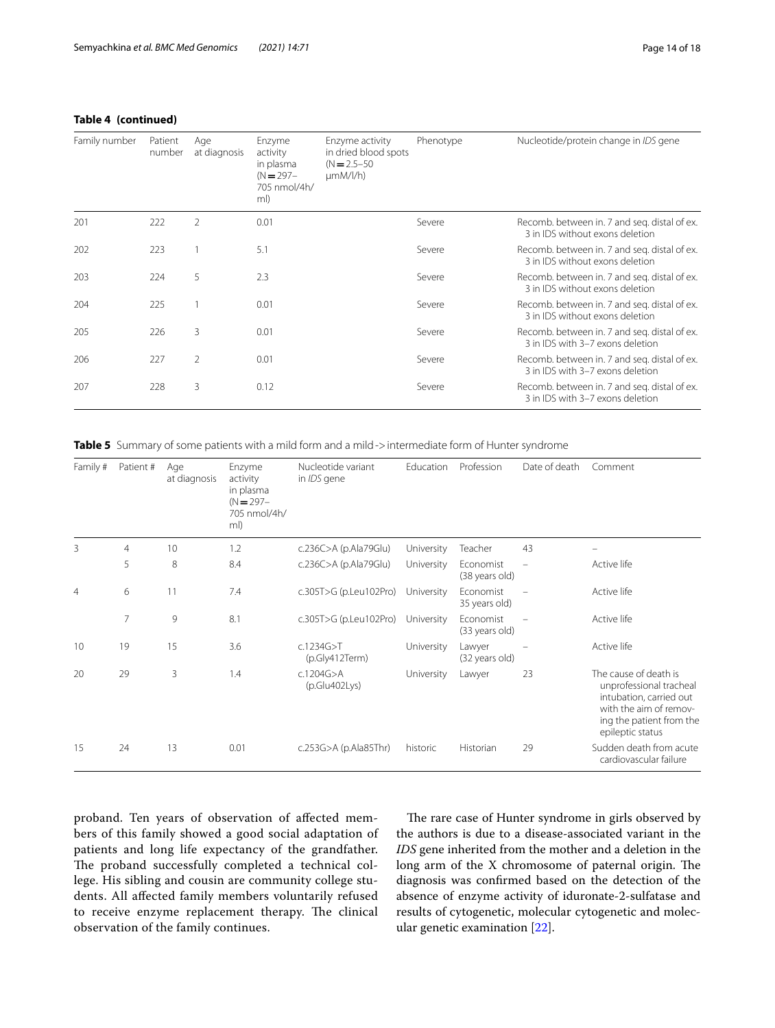| Family number | Patient<br>number | Age<br>at diagnosis | Enzyme<br>activity<br>in plasma<br>$(N = 297 -$<br>705 nmol/4h/<br>ml) | Enzyme activity<br>in dried blood spots<br>$(N = 2.5 - 50)$<br>$\mu$ mM/l/h) | Phenotype | Nucleotide/protein change in IDS gene                                            |
|---------------|-------------------|---------------------|------------------------------------------------------------------------|------------------------------------------------------------------------------|-----------|----------------------------------------------------------------------------------|
| 201           | 222               | 2                   | 0.01                                                                   |                                                                              | Severe    | Recomb. between in. 7 and seq. distal of ex.<br>3 in IDS without exons deletion  |
| 202           | 223               |                     | 5.1                                                                    |                                                                              | Severe    | Recomb. between in. 7 and seq. distal of ex.<br>3 in IDS without exons deletion  |
| 203           | 224               | 5                   | 2.3                                                                    |                                                                              | Severe    | Recomb. between in. 7 and seg. distal of ex.<br>3 in IDS without exons deletion  |
| 204           | 225               |                     | 0.01                                                                   |                                                                              | Severe    | Recomb. between in. 7 and seq. distal of ex.<br>3 in IDS without exons deletion  |
| 205           | 226               | 3                   | 0.01                                                                   |                                                                              | Severe    | Recomb. between in. 7 and seg. distal of ex.<br>3 in IDS with 3-7 exons deletion |
| 206           | 227               | 2                   | 0.01                                                                   |                                                                              | Severe    | Recomb. between in. 7 and seg. distal of ex.<br>3 in IDS with 3-7 exons deletion |
| 207           | 228               | 3                   | 0.12                                                                   |                                                                              | Severe    | Recomb. between in. 7 and seq. distal of ex.<br>3 in IDS with 3-7 exons deletion |

<span id="page-13-0"></span>**Table 5** Summary of some patients with a mild form and a mild->intermediate form of Hunter syndrome

| Family #       | Patient #      | Age<br>at diagnosis | Enzyme<br>activity<br>in plasma<br>$(N = 297 -$<br>705 nmol/4h/<br>ml) | Nucleotide variant<br>in IDS gene | <b>Education</b> | Profession                  | Date of death            | Comment                                                                                                                                               |
|----------------|----------------|---------------------|------------------------------------------------------------------------|-----------------------------------|------------------|-----------------------------|--------------------------|-------------------------------------------------------------------------------------------------------------------------------------------------------|
| 3              | $\overline{4}$ | 10                  | 1.2                                                                    | c.236C>A (p.Ala79Glu)             | University       | Teacher                     | 43                       |                                                                                                                                                       |
|                | 5              | 8                   | 8.4                                                                    | c.236C>A (p.Ala79Glu)             | University       | Economist<br>(38 years old) | $\overline{\phantom{0}}$ | Active life                                                                                                                                           |
| $\overline{4}$ | 6              | 11                  | 7.4                                                                    | c.305T>G (p.Leu102Pro)            | University       | Economist<br>35 years old)  |                          | Active life                                                                                                                                           |
|                | $\overline{7}$ | 9                   | 8.1                                                                    | c.305T>G (p.Leu102Pro)            | University       | Fconomist<br>(33 years old) |                          | Active life                                                                                                                                           |
| 10             | 19             | 15                  | 3.6                                                                    | c.1234G > T<br>(p.Gly412Term)     | University       | Lawyer<br>(32 years old)    |                          | Active life                                                                                                                                           |
| 20             | 29             | 3                   | 1.4                                                                    | c.1204G > A<br>(p.Glu402Lys)      | University       | Lawyer                      | 23                       | The cause of death is<br>unprofessional tracheal<br>intubation, carried out<br>with the aim of remov-<br>ing the patient from the<br>epileptic status |
| 15             | 24             | 13                  | 0.01                                                                   | c.253G $>$ A (p.Ala85Thr)         | historic         | Historian                   | 29                       | Sudden death from acute<br>cardiovascular failure                                                                                                     |

proband. Ten years of observation of afected members of this family showed a good social adaptation of patients and long life expectancy of the grandfather. The proband successfully completed a technical college. His sibling and cousin are community college students. All afected family members voluntarily refused to receive enzyme replacement therapy. The clinical observation of the family continues.

The rare case of Hunter syndrome in girls observed by the authors is due to a disease-associated variant in the *IDS* gene inherited from the mother and a deletion in the long arm of the  $X$  chromosome of paternal origin. The diagnosis was confrmed based on the detection of the absence of enzyme activity of iduronate-2-sulfatase and results of cytogenetic, molecular cytogenetic and molecular genetic examination [\[22](#page-17-18)].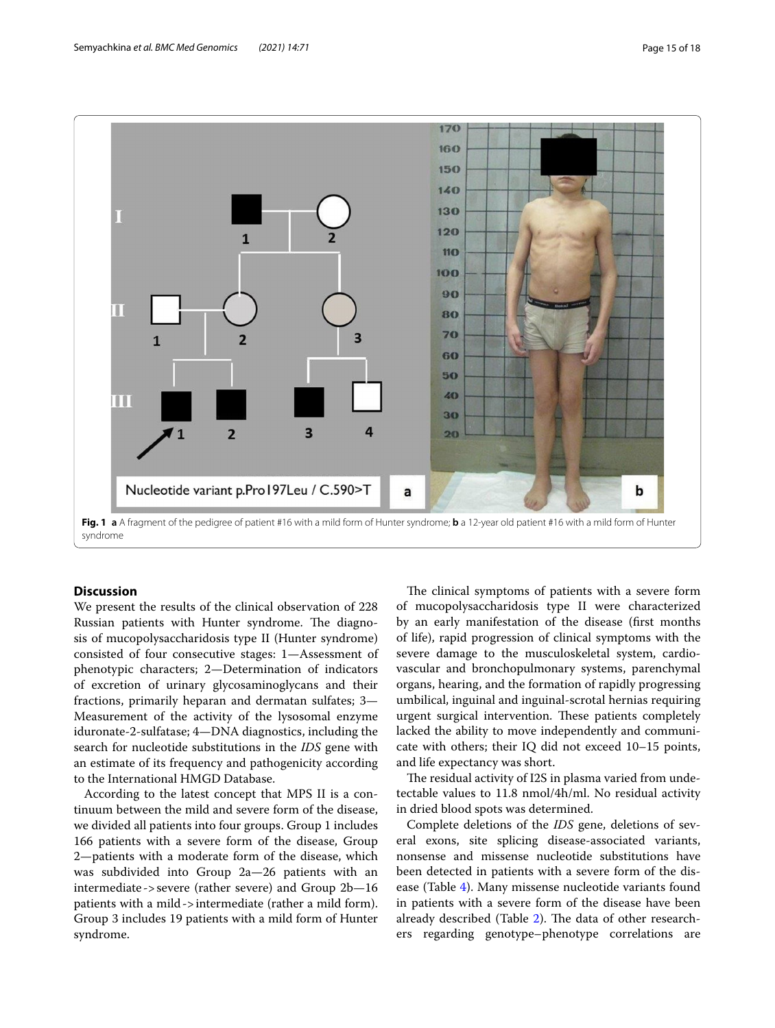

# <span id="page-14-0"></span>**Discussion**

We present the results of the clinical observation of 228 Russian patients with Hunter syndrome. The diagnosis of mucopolysaccharidosis type II (Hunter syndrome) consisted of four consecutive stages: 1—Assessment of phenotypic characters; 2—Determination of indicators of excretion of urinary glycosaminoglycans and their fractions, primarily heparan and dermatan sulfates; 3— Measurement of the activity of the lysosomal enzyme iduronate-2-sulfatase; 4—DNA diagnostics, including the search for nucleotide substitutions in the *IDS* gene with an estimate of its frequency and pathogenicity according to the International HMGD Database.

According to the latest concept that MPS II is a continuum between the mild and severe form of the disease, we divided all patients into four groups. Group 1 includes 166 patients with a severe form of the disease, Group 2—patients with a moderate form of the disease, which was subdivided into Group 2a—26 patients with an intermediate ->severe (rather severe) and Group 2b—16 patients with a mild->intermediate (rather a mild form). Group 3 includes 19 patients with a mild form of Hunter syndrome.

The clinical symptoms of patients with a severe form of mucopolysaccharidosis type II were characterized by an early manifestation of the disease (frst months of life), rapid progression of clinical symptoms with the severe damage to the musculoskeletal system, cardiovascular and bronchopulmonary systems, parenchymal organs, hearing, and the formation of rapidly progressing umbilical, inguinal and inguinal-scrotal hernias requiring urgent surgical intervention. These patients completely lacked the ability to move independently and communicate with others; their IQ did not exceed 10–15 points, and life expectancy was short.

The residual activity of I2S in plasma varied from undetectable values to 11.8 nmol/4h/ml. No residual activity in dried blood spots was determined.

Complete deletions of the *IDS* gene, deletions of several exons, site splicing disease-associated variants, nonsense and missense nucleotide substitutions have been detected in patients with a severe form of the disease (Table [4\)](#page-8-0). Many missense nucleotide variants found in patients with a severe form of the disease have been already described (Table [2\)](#page-3-0). The data of other researchers regarding genotype–phenotype correlations are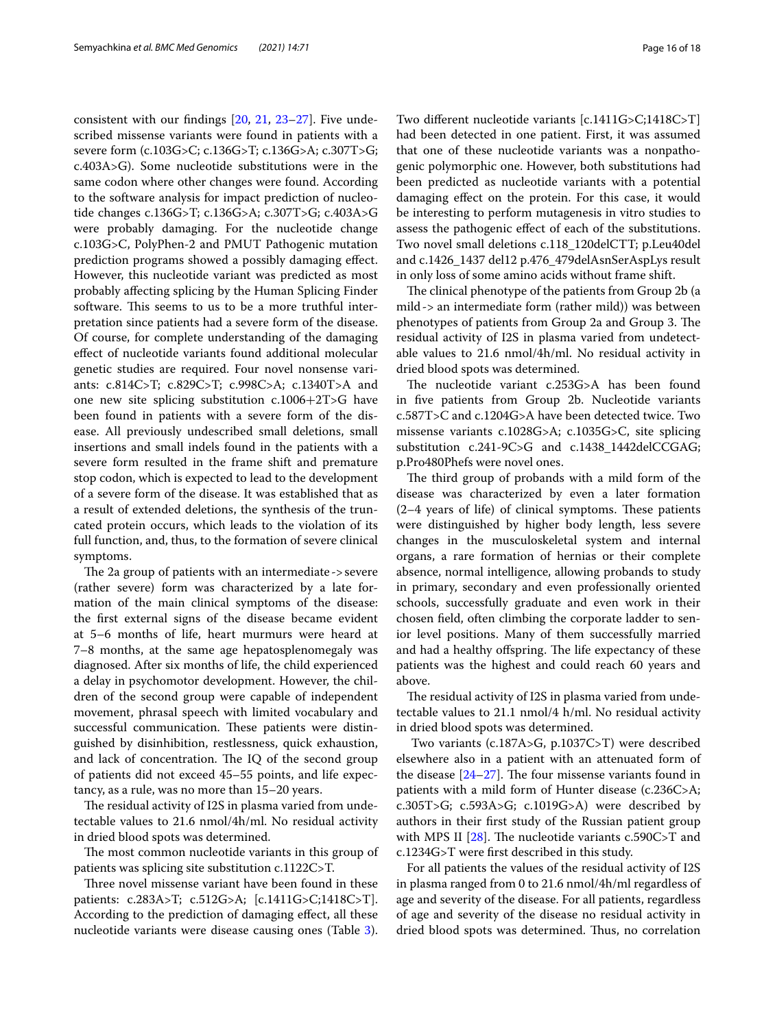consistent with our fndings [[20,](#page-17-16) [21](#page-17-17), [23–](#page-17-19)[27](#page-17-20)]. Five undescribed missense variants were found in patients with a severe form (c.103G>C; c.136G>T; c.136G>A; c.307T>G; c.403A>G). Some nucleotide substitutions were in the same codon where other changes were found. According to the software analysis for impact prediction of nucleotide changes c.136G>T; c.136G>A; c.307T>G; c.403A>G were probably damaging. For the nucleotide change c.103G>C, PolyPhen-2 and PMUT Pathogenic mutation prediction programs showed a possibly damaging efect. However, this nucleotide variant was predicted as most probably afecting splicing by the Human Splicing Finder software. This seems to us to be a more truthful interpretation since patients had a severe form of the disease. Of course, for complete understanding of the damaging efect of nucleotide variants found additional molecular genetic studies are required. Four novel nonsense variants: c.814C>T; c.829C>T; c.998C>A; c.1340T>A and one new site splicing substitution c.1006+2T>G have been found in patients with a severe form of the disease. All previously undescribed small deletions, small insertions and small indels found in the patients with a severe form resulted in the frame shift and premature stop codon, which is expected to lead to the development of a severe form of the disease. It was established that as a result of extended deletions, the synthesis of the truncated protein occurs, which leads to the violation of its full function, and, thus, to the formation of severe clinical symptoms.

The 2a group of patients with an intermediate  $\rightarrow$  severe (rather severe) form was characterized by a late formation of the main clinical symptoms of the disease: the frst external signs of the disease became evident at 5–6 months of life, heart murmurs were heard at 7–8 months, at the same age hepatosplenomegaly was diagnosed. After six months of life, the child experienced a delay in psychomotor development. However, the children of the second group were capable of independent movement, phrasal speech with limited vocabulary and successful communication. These patients were distinguished by disinhibition, restlessness, quick exhaustion, and lack of concentration. The IQ of the second group of patients did not exceed 45–55 points, and life expectancy, as a rule, was no more than 15–20 years.

The residual activity of I2S in plasma varied from undetectable values to 21.6 nmol/4h/ml. No residual activity in dried blood spots was determined.

The most common nucleotide variants in this group of patients was splicing site substitution c.1122C>T.

Three novel missense variant have been found in these patients: c.283A>T; c.512G>A; [c.1411G>C;1418C>T]. According to the prediction of damaging efect, all these nucleotide variants were disease causing ones (Table [3](#page-7-0)).

Two diferent nucleotide variants [c.1411G>C;1418C>T] had been detected in one patient. First, it was assumed that one of these nucleotide variants was a nonpathogenic polymorphic one. However, both substitutions had been predicted as nucleotide variants with a potential damaging efect on the protein. For this case, it would be interesting to perform mutagenesis in vitro studies to assess the pathogenic efect of each of the substitutions. Two novel small deletions c.118\_120delCTT; p.Leu40del and c.1426\_1437 del12 p.476\_479delAsnSerAspLys result in only loss of some amino acids without frame shift.

The clinical phenotype of the patients from Group 2b (a mild-> an intermediate form (rather mild)) was between phenotypes of patients from Group 2a and Group 3. The residual activity of I2S in plasma varied from undetectable values to 21.6 nmol/4h/ml. No residual activity in dried blood spots was determined.

The nucleotide variant c.253G>A has been found in fve patients from Group 2b. Nucleotide variants c.587T>C and c.1204G>A have been detected twice. Two missense variants c.1028G>A; c.1035G>C, site splicing substitution c.241-9C>G and c.1438\_1442delCCGAG; p.Pro480Phefs were novel ones.

The third group of probands with a mild form of the disease was characterized by even a later formation  $(2-4$  years of life) of clinical symptoms. These patients were distinguished by higher body length, less severe changes in the musculoskeletal system and internal organs, a rare formation of hernias or their complete absence, normal intelligence, allowing probands to study in primary, secondary and even professionally oriented schools, successfully graduate and even work in their chosen feld, often climbing the corporate ladder to senior level positions. Many of them successfully married and had a healthy offspring. The life expectancy of these patients was the highest and could reach 60 years and above.

The residual activity of I2S in plasma varied from undetectable values to 21.1 nmol/4 h/ml. No residual activity in dried blood spots was determined.

 Two variants (c.187A>G, p.1037C>T) were described elsewhere also in a patient with an attenuated form of the disease  $[24-27]$  $[24-27]$ . The four missense variants found in patients with a mild form of Hunter disease (c.236C>A; c.305T>G; c.593A>G; c.1019G>A) were described by authors in their frst study of the Russian patient group with MPS II  $[28]$  $[28]$ . The nucleotide variants c.590C>T and c.1234G>T were frst described in this study.

For all patients the values of the residual activity of I2S in plasma ranged from 0 to 21.6 nmol/4h/ml regardless of age and severity of the disease. For all patients, regardless of age and severity of the disease no residual activity in dried blood spots was determined. Thus, no correlation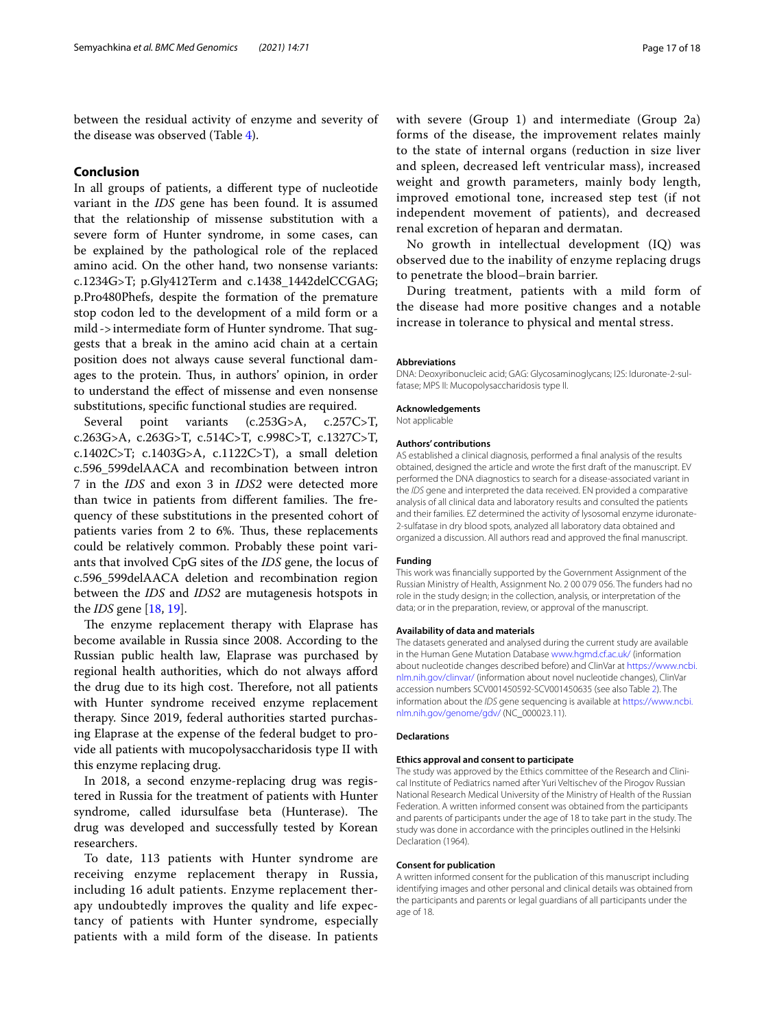between the residual activity of enzyme and severity of the disease was observed (Table [4\)](#page-8-0).

## **Conclusion**

In all groups of patients, a diferent type of nucleotide variant in the *IDS* gene has been found. It is assumed that the relationship of missense substitution with a severe form of Hunter syndrome, in some cases, can be explained by the pathological role of the replaced amino acid. On the other hand, two nonsense variants: c.1234G>T; p.Gly412Term and c.1438\_1442delCCGAG; p.Pro480Phefs, despite the formation of the premature stop codon led to the development of a mild form or a mild->intermediate form of Hunter syndrome. That suggests that a break in the amino acid chain at a certain position does not always cause several functional damages to the protein. Thus, in authors' opinion, in order to understand the efect of missense and even nonsense substitutions, specifc functional studies are required.

Several point variants (c.253G>A, c.257C>T, c.263G>A, c.263G>T, c.514C>T, c.998C>T, c.1327C>T, c.1402C>T; c.1403G>A, c.1122C>T), a small deletion c.596\_599delAACA and recombination between intron 7 in the *IDS* and exon 3 in *IDS2* were detected more than twice in patients from different families. The frequency of these substitutions in the presented cohort of patients varies from 2 to 6%. Thus, these replacements could be relatively common. Probably these point variants that involved CpG sites of the *IDS* gene, the locus of c.596\_599delAACA deletion and recombination region between the *IDS* and *IDS2* are mutagenesis hotspots in the *IDS* gene [\[18](#page-17-14), [19](#page-17-15)].

The enzyme replacement therapy with Elaprase has become available in Russia since 2008. According to the Russian public health law, Elaprase was purchased by regional health authorities, which do not always aford the drug due to its high cost. Therefore, not all patients with Hunter syndrome received enzyme replacement therapy. Since 2019, federal authorities started purchasing Elaprase at the expense of the federal budget to provide all patients with mucopolysaccharidosis type II with this enzyme replacing drug.

In 2018, a second enzyme-replacing drug was registered in Russia for the treatment of patients with Hunter syndrome, called idursulfase beta (Hunterase). The drug was developed and successfully tested by Korean researchers.

To date, 113 patients with Hunter syndrome are receiving enzyme replacement therapy in Russia, including 16 adult patients. Enzyme replacement therapy undoubtedly improves the quality and life expectancy of patients with Hunter syndrome, especially patients with a mild form of the disease. In patients with severe (Group 1) and intermediate (Group 2a) forms of the disease, the improvement relates mainly to the state of internal organs (reduction in size liver and spleen, decreased left ventricular mass), increased weight and growth parameters, mainly body length, improved emotional tone, increased step test (if not independent movement of patients), and decreased renal excretion of heparan and dermatan.

No growth in intellectual development (IQ) was observed due to the inability of enzyme replacing drugs to penetrate the blood–brain barrier.

During treatment, patients with a mild form of the disease had more positive changes and a notable increase in tolerance to physical and mental stress.

#### **Abbreviations**

DNA: Deoxyribonucleic acid; GAG: Glycosaminoglycans; I2S: Iduronate-2-sulfatase; MPS II: Mucopolysaccharidosis type II.

**Acknowledgements**

Not applicable

#### **Authors' contributions**

AS established a clinical diagnosis, performed a fnal analysis of the results obtained, designed the article and wrote the frst draft of the manuscript. EV performed the DNA diagnostics to search for a disease-associated variant in the *IDS* gene and interpreted the data received. EN provided a comparative analysis of all clinical data and laboratory results and consulted the patients and their families. EZ determined the activity of lysosomal enzyme iduronate-2-sulfatase in dry blood spots, analyzed all laboratory data obtained and organized a discussion. All authors read and approved the fnal manuscript.

#### **Funding**

This work was fnancially supported by the Government Assignment of the Russian Ministry of Health, Assignment No. 2 00 079 056. The funders had no role in the study design; in the collection, analysis, or interpretation of the data; or in the preparation, review, or approval of the manuscript.

#### **Availability of data and materials**

The datasets generated and analysed during the current study are available in the Human Gene Mutation Database [www.hgmd.cf.ac.uk/](http://www.hgmd.cf.ac.uk/) (information about nucleotide changes described before) and ClinVar at [https://www.ncbi.](https://www.ncbi.nlm.nih.gov/clinvar/) [nlm.nih.gov/clinvar/](https://www.ncbi.nlm.nih.gov/clinvar/) (information about novel nucleotide changes), ClinVar accession numbers SCV001450592-SCV001450635 (see also Table [2\)](#page-3-0). The information about the *IDS* gene sequencing is available at [https://www.ncbi.](https://www.ncbi.nlm.nih.gov/genome/gdv/) [nlm.nih.gov/genome/gdv/](https://www.ncbi.nlm.nih.gov/genome/gdv/) (NC\_000023.11).

#### **Declarations**

#### **Ethics approval and consent to participate**

The study was approved by the Ethics committee of the Research and Clinical Institute of Pediatrics named after Yuri Veltischev of the Pirogov Russian National Research Medical University of the Ministry of Health of the Russian Federation. A written informed consent was obtained from the participants and parents of participants under the age of 18 to take part in the study. The study was done in accordance with the principles outlined in the Helsinki Declaration (1964).

#### **Consent for publication**

A written informed consent for the publication of this manuscript including identifying images and other personal and clinical details was obtained from the participants and parents or legal guardians of all participants under the age of 18.